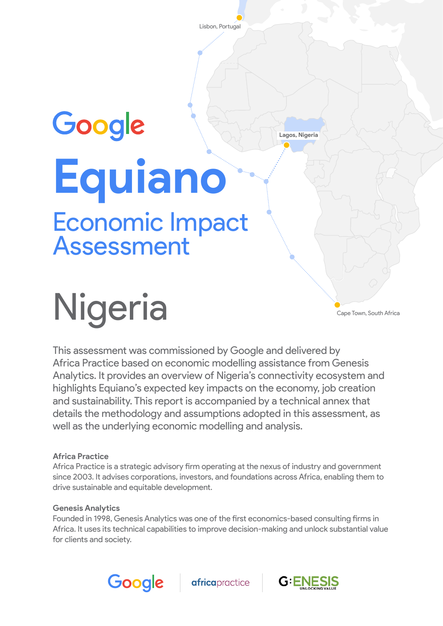Lisbon, Portugal

 **Lagos, Nigeria**

# Google **Equiano** Economic Impact Assessment

Nigeria

Cape Town, South Africa

This assessment was commissioned by Google and delivered by Africa Practice based on economic modelling assistance from Genesis Analytics. It provides an overview of Nigeria's connectivity ecosystem and highlights Equiano's expected key impacts on the economy, job creation and sustainability. This report is accompanied by a technical annex that details the methodology and assumptions adopted in this assessment, as well as the underlying economic modelling and analysis.

#### **Africa Practice**

Africa Practice is a strategic advisory firm operating at the nexus of industry and government since 2003. It advises corporations, investors, and foundations across Africa, enabling them to drive sustainable and equitable development.

#### **Genesis Analytics**

Founded in 1998, Genesis Analytics was one of the first economics-based consulting firms in Africa. It uses its technical capabilities to improve decision-making and unlock substantial value for clients and society.



**africa**practice

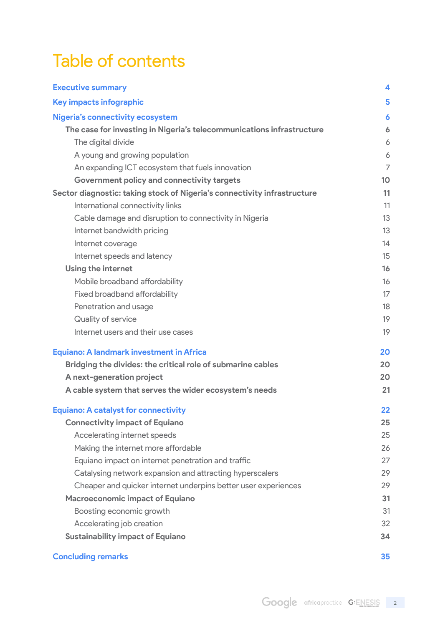# Table of contents

| <b>Executive summary</b>                                                 | 4              |
|--------------------------------------------------------------------------|----------------|
| Key impacts infographic                                                  | 5              |
| <b>Nigeria's connectivity ecosystem</b>                                  | 6              |
| The case for investing in Nigeria's telecommunications infrastructure    | 6              |
| The digital divide                                                       | 6              |
| A young and growing population                                           | 6              |
| An expanding ICT ecosystem that fuels innovation                         | $\overline{7}$ |
| Government policy and connectivity targets                               | 10             |
| Sector diagnostic: taking stock of Nigeria's connectivity infrastructure | 11             |
| International connectivity links                                         | 11             |
| Cable damage and disruption to connectivity in Nigeria                   | 13             |
| Internet bandwidth pricing                                               | 13             |
| Internet coverage                                                        | 14             |
| Internet speeds and latency                                              | 15             |
| <b>Using the internet</b>                                                | 16             |
| Mobile broadband affordability                                           | 16             |
| <b>Fixed broadband affordability</b>                                     | 17             |
| Penetration and usage                                                    | 18             |
| Quality of service                                                       | 19             |
| Internet users and their use cases                                       | 19             |
| <b>Equiano: A landmark investment in Africa</b>                          | 20             |
| Bridging the divides: the critical role of submarine cables              | 20             |
| A next-generation project                                                | 20             |
| A cable system that serves the wider ecosystem's needs                   | 21             |
| <b>Equiano: A catalyst for connectivity</b>                              | 22             |
| <b>Connectivity impact of Equiano</b>                                    | 25             |
| Accelerating internet speeds                                             | 25             |
| Making the internet more affordable                                      | 26             |
| Equiano impact on internet penetration and traffic                       | 27             |
| Catalysing network expansion and attracting hyperscalers                 | 29             |
| Cheaper and quicker internet underpins better user experiences           | 29             |
| <b>Macroeconomic impact of Equiano</b>                                   | 31             |
| Boosting economic growth                                                 | 31             |
| Accelerating job creation                                                | 32             |
| <b>Sustainability impact of Equiano</b>                                  | 34             |
| <b>Concluding remarks</b>                                                | 35             |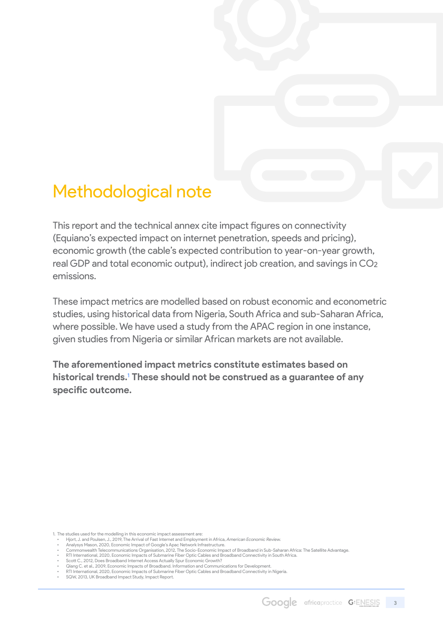# Methodological note

This report and the technical annex cite impact figures on connectivity (Equiano's expected impact on internet penetration, speeds and pricing), economic growth (the cable's expected contribution to year-on-year growth, real GDP and total economic output), indirect job creation, and savings in CO2 emissions.

These impact metrics are modelled based on robust economic and econometric studies, using historical data from Nigeria, South Africa and sub-Saharan Africa, where possible. We have used a study from the APAC region in one instance, given studies from Nigeria or similar African markets are not available.

**The aforementioned impact metrics constitute estimates based on historical trends.**<sup>1</sup> **These should not be construed as a guarantee of any specific outcome.**

1. The studies used for the modelling in this economic impact assessment are:

<sup>•</sup> Hjort, J. and Poulsen, J., 2019, The Arrival of Fast Internet and Employment in Africa, *American Economic Review.* • Analysys Mason, 2020, Economic Impact of Google's Apac Network Infrastructure.

<sup>·</sup> Commonwealth Telecommunications Organisation, 2012, The Socio-Economic Impact of Broadband in Sub-Saharan Africa: The Satellite Advantage.<br>• RTI International, 2020, Economic Impacts of Submarine Fiber Optic Cables

<sup>•</sup> Scott C., 2012, Does Broadband Internet Access Actually Spur Economic Growth?

<sup>•</sup> Qiang C. et al., 2009, Economic Impacts of Broadband. Information and Communications for Development. • RTI International, 2020, Economic Impacts of Submarine Fiber Optic Cables and Broadband Connectivity in Nigeria.

<sup>•</sup> SQW, 2013, UK Broadband Impact Study, Impact Report.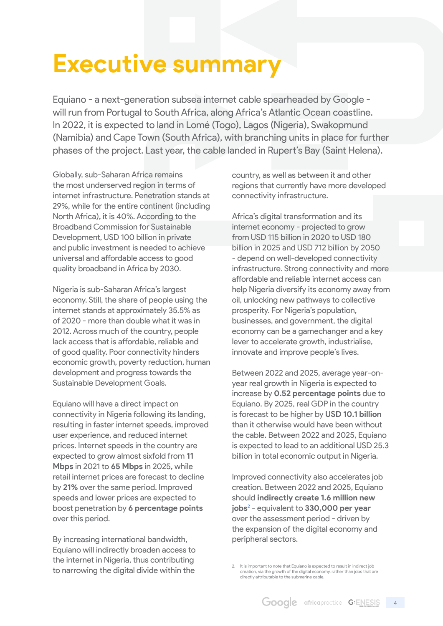# <span id="page-3-0"></span>**Executive summary**

Equiano - a next-generation subsea internet cable spearheaded by Google will run from Portugal to South Africa, along Africa's Atlantic Ocean coastline. In 2022, it is expected to land in Lomé (Togo), Lagos (Nigeria), Swakopmund (Namibia) and Cape Town (South Africa), with branching units in place for further phases of the project. Last year, the cable landed in Rupert's Bay (Saint Helena).

Globally, sub-Saharan Africa remains the most underserved region in terms of internet infrastructure. Penetration stands at 29%, while for the entire continent (including North Africa), it is 40%. According to the Broadband Commission for Sustainable Development, USD 100 billion in private and public investment is needed to achieve universal and affordable access to good quality broadband in Africa by 2030.

Nigeria is sub-Saharan Africa's largest economy. Still, the share of people using the internet stands at approximately 35.5% as of 2020 - more than double what it was in 2012. Across much of the country, people lack access that is affordable, reliable and of good quality. Poor connectivity hinders economic growth, poverty reduction, human development and progress towards the Sustainable Development Goals.

Equiano will have a direct impact on connectivity in Nigeria following its landing, resulting in faster internet speeds, improved user experience, and reduced internet prices. Internet speeds in the country are expected to grow almost sixfold from **11 Mbps** in 2021 to **65 Mbps** in 2025, while retail internet prices are forecast to decline by **21%** over the same period. Improved speeds and lower prices are expected to boost penetration by **6 percentage points** over this period.

By increasing international bandwidth, Equiano will indirectly broaden access to the internet in Nigeria, thus contributing to narrowing the digital divide within the

country, as well as between it and other regions that currently have more developed connectivity infrastructure.

Africa's digital transformation and its internet economy - projected to grow from USD 115 billion in 2020 to USD 180 billion in 2025 and USD 712 billion by 2050 - depend on well-developed connectivity infrastructure. Strong connectivity and more affordable and reliable internet access can help Nigeria diversify its economy away from oil, unlocking new pathways to collective prosperity. For Nigeria's population, businesses, and government, the digital economy can be a gamechanger and a key lever to accelerate growth, industrialise, innovate and improve people's lives.

Between 2022 and 2025, average year-onyear real growth in Nigeria is expected to increase by **0.52 percentage points** due to Equiano. By 2025, real GDP in the country is forecast to be higher by **USD 10.1 billion** than it otherwise would have been without the cable. Between 2022 and 2025, Equiano is expected to lead to an additional USD 25.3 billion in total economic output in Nigeria.

Improved connectivity also accelerates job creation. Between 2022 and 2025, Equiano should **indirectly create 1.6 million new jobs**<sup>2</sup> - equivalent to **330,000 per year** over the assessment period - driven by the expansion of the digital economy and peripheral sectors.

2. It is important to note that Equiano is expected to result in indirect job creation, via the growth of the digital economy, rather than jobs that are directly attributable to the submarine cable.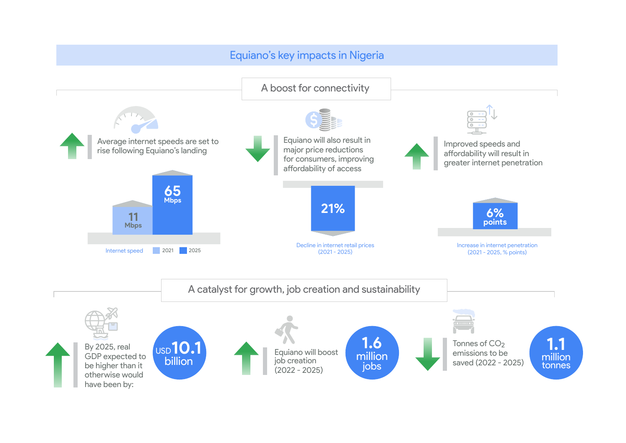<span id="page-4-0"></span>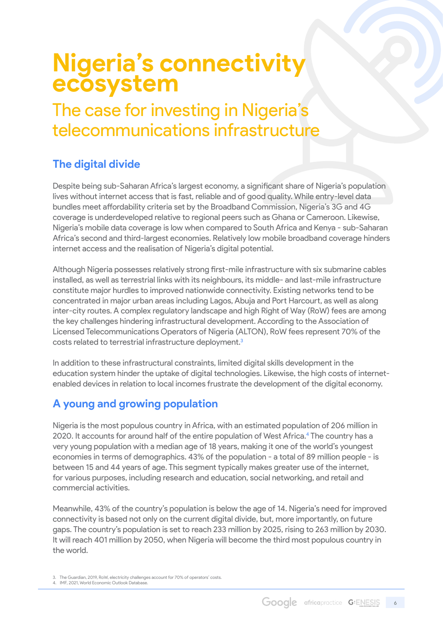# <span id="page-5-0"></span>**Nigeria's connectivity ecosystem**

# The case for investing in Nigeria's telecommunications infrastructure

### **The digital divide**

Despite being sub-Saharan Africa's largest economy, a significant share of Nigeria's population lives without internet access that is fast, reliable and of good quality. While entry-level data bundles meet affordability criteria set by the Broadband Commission, Nigeria's 3G and 4G coverage is underdeveloped relative to regional peers such as Ghana or Cameroon. Likewise, Nigeria's mobile data coverage is low when compared to South Africa and Kenya - sub-Saharan Africa's second and third-largest economies. Relatively low mobile broadband coverage hinders internet access and the realisation of Nigeria's digital potential.

Although Nigeria possesses relatively strong first-mile infrastructure with six submarine cables installed, as well as terrestrial links with its neighbours, its middle- and last-mile infrastructure constitute major hurdles to improved nationwide connectivity. Existing networks tend to be concentrated in major urban areas including Lagos, Abuja and Port Harcourt, as well as along inter-city routes. A complex regulatory landscape and high Right of Way (RoW) fees are among the key challenges hindering infrastructural development. According to the Association of Licensed Telecommunications Operators of Nigeria (ALTON), RoW fees represent 70% of the costs related to terrestrial infrastructure deployment.<sup>3</sup>

In addition to these infrastructural constraints, limited digital skills development in the education system hinder the uptake of digital technologies. Likewise, the high costs of internetenabled devices in relation to local incomes frustrate the development of the digital economy.

### **A young and growing population**

Nigeria is the most populous country in Africa, with an estimated population of 206 million in 2020. It accounts for around half of the entire population of West Africa.<sup>4</sup> The country has a very young population with a median age of 18 years, making it one of the world's youngest economies in terms of demographics. 43% of the population - a total of 89 million people - is between 15 and 44 years of age. This segment typically makes greater use of the internet, for various purposes, including research and education, social networking, and retail and commercial activities.

Meanwhile, 43% of the country's population is below the age of 14. Nigeria's need for improved connectivity is based not only on the current digital divide, but, more importantly, on future gaps. The country's population is set to reach 233 million by 2025, rising to 263 million by 2030. It will reach 401 million by 2050, when Nigeria will become the third most populous country in the world.

<sup>3.</sup> The Guardian, 2019, RoW, electricity challenges account for 70% of operators' costs. 4. IMF, 2021, World Economic Outlook Database.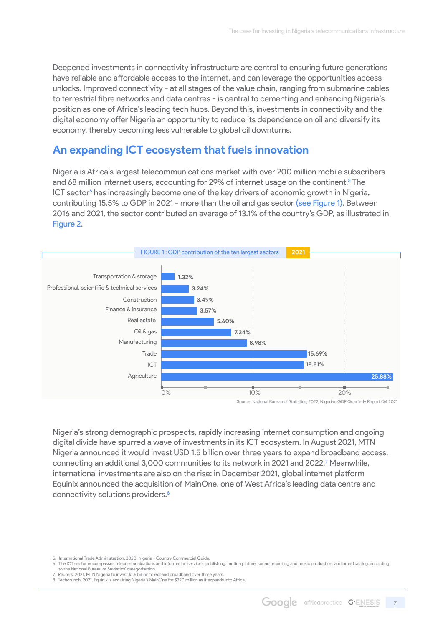<span id="page-6-0"></span>Deepened investments in connectivity infrastructure are central to ensuring future generations have reliable and affordable access to the internet, and can leverage the opportunities access unlocks. Improved connectivity - at all stages of the value chain, ranging from submarine cables to terrestrial fibre networks and data centres - is central to cementing and enhancing Nigeria's position as one of Africa's leading tech hubs. Beyond this, investments in connectivity and the digital economy offer Nigeria an opportunity to reduce its dependence on oil and diversify its economy, thereby becoming less vulnerable to global oil downturns.

### **An expanding ICT ecosystem that fuels innovation**

Nigeria is Africa's largest telecommunications market with over 200 million mobile subscribers and 68 million internet users, accounting for 29% of internet usage on the continent.<sup>5</sup> The ICT sector<sup>6</sup> has increasingly become one of the key drivers of economic growth in Nigeria, contributing 15.5% to GDP in 2021 - more than the oil and gas sector (see Figure 1). Between 2016 and 2021, the sector contributed an average of 13.1% of the country's GDP, as illustrated in Figure 2.



Source: National Bureau of Statistics, 2022, Nigerian GDP Quarterly Report Q4 2021

Nigeria's strong demographic prospects, rapidly increasing internet consumption and ongoing digital divide have spurred a wave of investments in its ICT ecosystem. In August 2021, MTN Nigeria announced it would invest USD 1.5 billion over three years to expand broadband access, connecting an additional 3,000 communities to its network in 2021 and 2022.<sup>7</sup> Meanwhile, international investments are also on the rise: in December 2021, global internet platform Equinix announced the acquisition of MainOne, one of West Africa's leading data centre and connectivity solutions providers.8

<sup>5.</sup> International Trade Administration, 2020, Nigeria - Country Commercial Guide.

<sup>6.</sup> The ICT sector encompasses telecommunications and information services, publishing, motion picture, sound recording and music production, and broadcasting, according to the National Bureau of Statistics' categorisation. 7. Reuters, 2021, MTN Nigeria to invest \$1.5 billion to expand broadband over three years.

<sup>8.</sup> Techcrunch, 2021, Equinix is acquiring Nigeria's MainOne for \$320 million as it expands into Africa.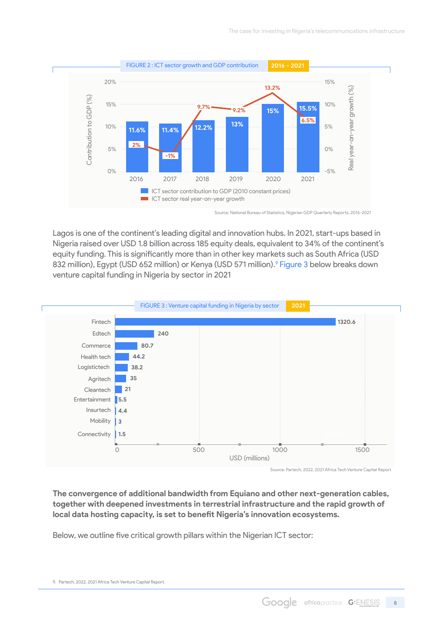

Source: National Bureau of Statistics, Nigerian GDP Quarterly Reports, 2016-2021

Lagos is one of the continent's leading digital and innovation hubs. In 2021, start-ups based in Nigeria raised over USD 1.8 billion across 185 equity deals, equivalent to 34% of the continent's equity funding. This is significantly more than in other key markets such as South Africa (USD 832 million), Egypt (USD 652 million) or Kenya (USD 571 million).<sup>9</sup> Figure 3 below breaks down venture capital funding in Nigeria by sector in 2021



Source: Partech, 2022, 2021 Africa Tech Venture Capital Report

**The convergence of additional bandwidth from Equiano and other next-generation cables, together with deepened investments in terrestrial infrastructure and the rapid growth of local data hosting capacity, is set to benefit Nigeria's innovation ecosystems.**

Below, we outline five critical growth pillars within the Nigerian ICT sector:

<sup>9.</sup> Partech, 2022, 2021 Africa Tech Venture Capital Report.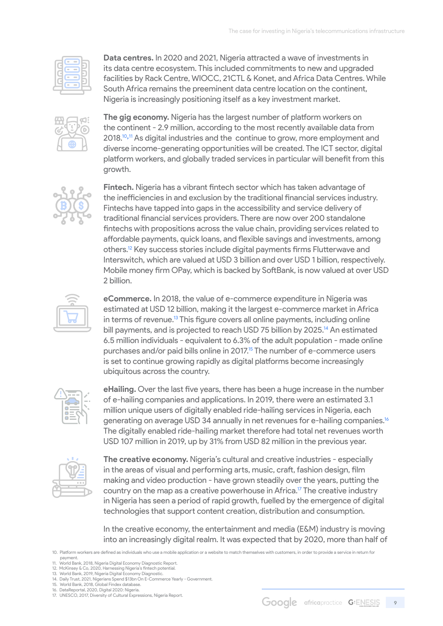

**Data centres.** In 2020 and 2021, Nigeria attracted a wave of investments in its data centre ecosystem. This included commitments to new and upgraded facilities by Rack Centre, WIOCC, 21CTL & Konet, and Africa Data Centres. While South Africa remains the preeminent data centre location on the continent, Nigeria is increasingly positioning itself as a key investment market.



**The gig economy.** Nigeria has the largest number of platform workers on the continent - 2.9 million, according to the most recently available data from 2018.<sup>10,11</sup> As digital industries and the continue to grow, more employment and diverse income-generating opportunities will be created. The ICT sector, digital platform workers, and globally traded services in particular will benefit from this growth.



**Fintech.** Nigeria has a vibrant fintech sector which has taken advantage of the inefficiencies in and exclusion by the traditional financial services industry. Fintechs have tapped into gaps in the accessibility and service delivery of traditional financial services providers. There are now over 200 standalone fintechs with propositions across the value chain, providing services related to affordable payments, quick loans, and flexible savings and investments, among others.12 Key success stories include digital payments firms Flutterwave and Interswitch, which are valued at USD 3 billion and over USD 1 billion, respectively. Mobile money firm OPay, which is backed by SoftBank, is now valued at over USD 2 billion.



**eCommerce.** In 2018, the value of e-commerce expenditure in Nigeria was estimated at USD 12 billion, making it the largest e-commerce market in Africa in terms of revenue.<sup>13</sup> This figure covers all online payments, including online bill payments, and is projected to reach USD 75 billion by 2025.<sup>14</sup> An estimated 6.5 million individuals - equivalent to 6.3% of the adult population - made online purchases and/or paid bills online in 2017.<sup>15</sup> The number of e-commerce users is set to continue growing rapidly as digital platforms become increasingly ubiquitous across the country.



**eHailing.** Over the last five years, there has been a huge increase in the number of e-hailing companies and applications. In 2019, there were an estimated 3.1 million unique users of digitally enabled ride-hailing services in Nigeria, each generating on average USD 34 annually in net revenues for e-hailing companies.16 The digitally enabled ride-hailing market therefore had total net revenues worth USD 107 million in 2019, up by 31% from USD 82 million in the previous year.



**The creative economy.** Nigeria's cultural and creative industries - especially in the areas of visual and performing arts, music, craft, fashion design, film making and video production - have grown steadily over the years, putting the country on the map as a creative powerhouse in Africa.<sup>17</sup> The creative industry in Nigeria has seen a period of rapid growth, fuelled by the emergence of digital technologies that support content creation, distribution and consumption.

In the creative economy, the entertainment and media (E&M) industry is moving into an increasingly digital realm. It was expected that by 2020, more than half of

10. Platform workers are defined as individuals who use a mobile application or a website to match themselves with customers, in order to provide a service in return for payment.

11. World Bank, 2018, Nigeria Digital Economy Diagnostic Report. 

12. McKinsey & Co, 2020, Harnessing Nigeria's fintech potential.  13. World Bank, 2019, Nigeria Digital Economy Diagnostic.

<sup>14.</sup> Daily Trust, 2021, Nigerians Spend \$13bn On E-Commerce Yearly - Government. 15. World Bank, 2018, Global Findex database.

<sup>16.</sup> DataReportal, 2020, Digital 2020: Nigeria.  17. UNESCO, 2017, Diversity of Cultural Expressions, Nigeria Report.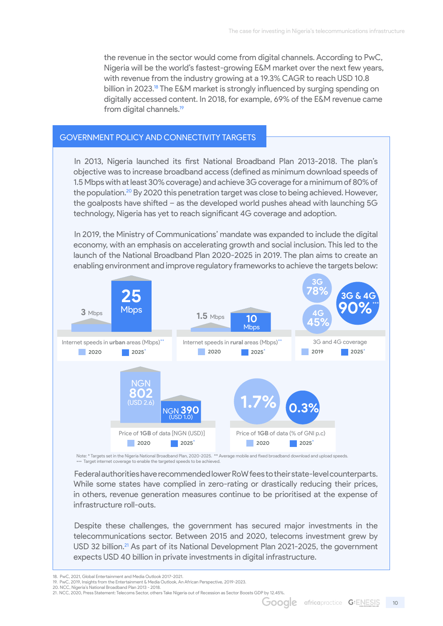<span id="page-9-0"></span>the revenue in the sector would come from digital channels. According to PwC, Nigeria will be the world's fastest-growing E&M market over the next few years, with revenue from the industry growing at a 19.3% CAGR to reach USD 10.8 billion in 2023.<sup>18</sup> The E&M market is strongly influenced by surging spending on digitally accessed content. In 2018, for example, 69% of the E&M revenue came from digital channels.<sup>19</sup>

#### Government policy and connectivity targets

In 2013, Nigeria launched its first National Broadband Plan 2013-2018. The plan's objective was to increase broadband access (defined as minimum download speeds of 1.5 Mbps with at least 30% coverage) and achieve 3G coverage for a minimum of 80% of the population.<sup>20</sup> By 2020 this penetration target was close to being achieved. However, the goalposts have shifted – as the developed world pushes ahead with launching 5G technology, Nigeria has yet to reach significant 4G coverage and adoption.

In 2019, the Ministry of Communications' mandate was expanded to include the digital economy, with an emphasis on accelerating growth and social inclusion. This led to the launch of the National Broadband Plan 2020-2025 in 2019. The plan aims to create an enabling environment and improve regulatory frameworks to achieve the targets below:



Note: \* Targets set in the Nigeria National Broadband Plan, 2020-2025. \*\* Average mobile and fixed broadband download and upload speeds.<br>••• Target internet coverage to enable the targeted speeds to be achieved.

Federal authorities have recommended lower RoW fees to their state-level counterparts. While some states have complied in zero-rating or drastically reducing their prices, in others, revenue generation measures continue to be prioritised at the expense of infrastructure roll-outs.

Despite these challenges, the government has secured major investments in the telecommunications sector. Between 2015 and 2020, telecoms investment grew by USD 32 billion.<sup>21</sup> As part of its National Development Plan 2021-2025, the government expects USD 40 billion in private investments in digital infrastructure.

<sup>18.</sup> PwC, 2021, Global Entertainment and Media Outlook 2017-2021. 

<sup>19.</sup> PwC, 2019, Insights from the Entertainment & Media Outlook, An African Perspective, 2019-2023. 

<sup>20.</sup> NCC, Nigeria's National Broadband Plan 2013 - 2018.<br>21. NCC, 2020, Press Statement: Telecoms Sector, others Take Nigeria out of Recession as Sector Boosts GDP by 12.45%.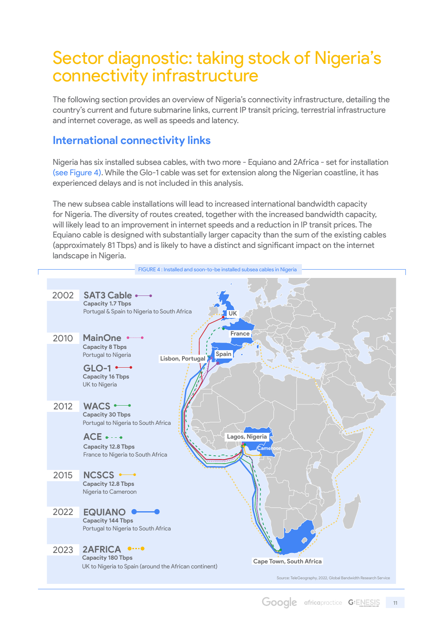# <span id="page-10-0"></span>Sector diagnostic: taking stock of Nigeria's connectivity infrastructure

The following section provides an overview of Nigeria's connectivity infrastructure, detailing the country's current and future submarine links, current IP transit pricing, terrestrial infrastructure and internet coverage, as well as speeds and latency.

### **International connectivity links**

Nigeria has six installed subsea cables, with two more - Equiano and 2Africa - set for installation (see Figure 4). While the Glo-1 cable was set for extension along the Nigerian coastline, it has experienced delays and is not included in this analysis.

The new subsea cable installations will lead to increased international bandwidth capacity for Nigeria. The diversity of routes created, together with the increased bandwidth capacity, will likely lead to an improvement in internet speeds and a reduction in IP transit prices. The Equiano cable is designed with substantially larger capacity than the sum of the existing cables (approximately 81 Tbps) and is likely to have a distinct and significant impact on the internet landscape in Nigeria.

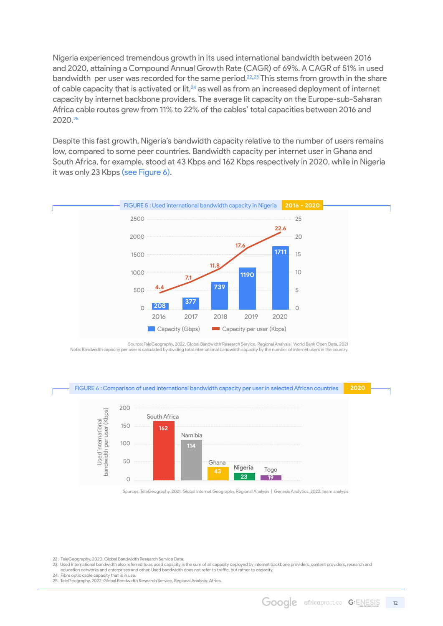Nigeria experienced tremendous growth in its used international bandwidth between 2016 and 2020, attaining a Compound Annual Growth Rate (CAGR) of 69%. A CAGR of 51% in used bandwidth per user was recorded for the same period.<sup>22,23</sup> This stems from growth in the share of cable capacity that is activated or lit,<sup>24</sup> as well as from an increased deployment of internet capacity by internet backbone providers. The average lit capacity on the Europe-sub-Saharan Africa cable routes grew from 11% to 22% of the cables' total capacities between 2016 and 2020.<sup>25</sup>

Despite this fast growth, Nigeria's bandwidth capacity relative to the number of users remains low, compared to some peer countries. Bandwidth capacity per internet user in Ghana and South Africa, for example, stood at 43 Kbps and 162 Kbps respectively in 2020, while in Nigeria it was only 23 Kbps (see Figure 6).



Source: TeleGeography, 2022, Global Bandwidth Research Service, Regional Analysis | World Bank Open Data, 2021 Note: Bandwidth capacity per user is calculated by dividing total international bandwidth capacity by the number of internet users in the country.





Sources: TeleGeography, 2021, Global Internet Geography, Regional Analysis | Genesis Analytics, 2022, team analysis

22. TeleGeography, 2020, Global Bandwidth Research Service Data.

23. Used international bandwidth also referred to as used capacity is the sum of all capacity deployed by internet backbone providers, content providers, research and<br>education networks and enterprises and other. Used band

24. Fibre optic cable capacity that is in use. 

<sup>25.</sup> TeleGeography, 2022, Global Bandwidth Research Service, Regional Analysis: Africa.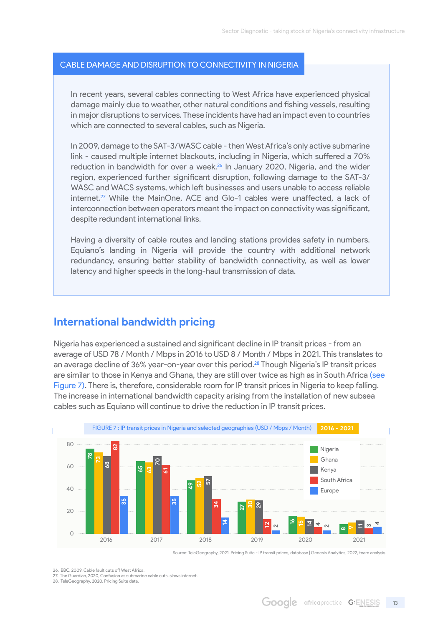#### <span id="page-12-0"></span>Cable damage and disruption to connectivity in Nigeria

In recent years, several cables connecting to West Africa have experienced physical damage mainly due to weather, other natural conditions and fishing vessels, resulting in major disruptions to services. These incidents have had an impact even to countries which are connected to several cables, such as Nigeria.

In 2009, damage to the SAT-3/WASC cable - then West Africa's only active submarine link - caused multiple internet blackouts, including in Nigeria, which suffered a 70% reduction in bandwidth for over a week.<sup>26</sup> In January 2020, Nigeria, and the wider region, experienced further significant disruption, following damage to the SAT-3/ WASC and WACS systems, which left businesses and users unable to access reliable internet.<sup>27</sup> While the MainOne, ACE and Glo-1 cables were unaffected, a lack of interconnection between operators meant the impact on connectivity was significant, despite redundant international links.

Having a diversity of cable routes and landing stations provides safety in numbers. Equiano's landing in Nigeria will provide the country with additional network redundancy, ensuring better stability of bandwidth connectivity, as well as lower latency and higher speeds in the long-haul transmission of data.

#### **International bandwidth pricing**

Nigeria has experienced a sustained and significant decline in IP transit prices - from an average of USD 78 / Month / Mbps in 2016 to USD 8 / Month / Mbps in 2021. This translates to an average decline of 36% year-on-year over this period.<sup>28</sup> Though Nigeria's IP transit prices are similar to those in Kenya and Ghana, they are still over twice as high as in South Africa (see Figure 7). There is, therefore, considerable room for IP transit prices in Nigeria to keep falling. The increase in international bandwidth capacity arising from the installation of new subsea cables such as Equiano will continue to drive the reduction in IP transit prices.



Source: TeleGeography, 2021, Pricing Suite - IP transit prices, database | Genesis Analytics, 2022, team analysis

26. BBC, 2009, Cable fault cuts off West Africa. 

27. The Guardian, 2020, Confusion as submarine cable cuts, slows internet.   28. TeleGeography, 2020, Pricing Suite data.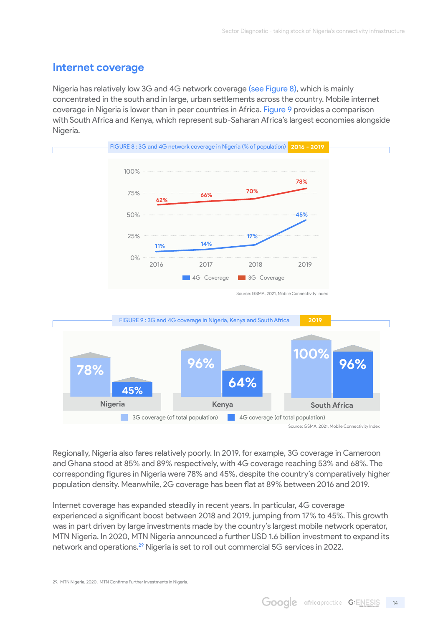### **Internet coverage**

Nigeria has relatively low 3G and 4G network coverage (see Figure 8), which is mainly concentrated in the south and in large, urban settlements across the country. Mobile internet coverage in Nigeria is lower than in peer countries in Africa. Figure 9 provides a comparison with South Africa and Kenya, which represent sub-Saharan Africa's largest economies alongside Nigeria.



Regionally, Nigeria also fares relatively poorly. In 2019, for example, 3G coverage in Cameroon and Ghana stood at 85% and 89% respectively, with 4G coverage reaching 53% and 68%. The corresponding figures in Nigeria were 78% and 45%, despite the country's comparatively higher population density. Meanwhile, 2G coverage has been flat at 89% between 2016 and 2019.

Internet coverage has expanded steadily in recent years. In particular, 4G coverage experienced a significant boost between 2018 and 2019, jumping from 17% to 45%. This growth was in part driven by large investments made by the country's largest mobile network operator, MTN Nigeria. In 2020, MTN Nigeria announced a further USD 1.6 billion investment to expand its network and operations.29 Nigeria is set to roll out commercial 5G services in 2022.

29. MTN Nigeria, 2020, MTN Confirms Further Investments in Nigeria.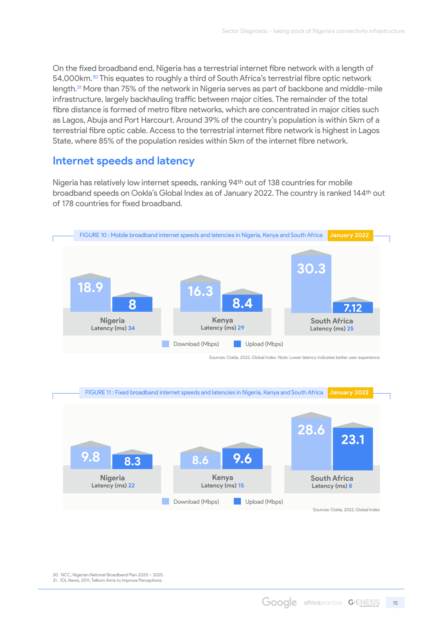<span id="page-14-0"></span>On the fixed broadband end, Nigeria has a terrestrial internet fibre network with a length of 54,000km.<sup>30</sup> This equates to roughly a third of South Africa's terrestrial fibre optic network length.31 More than 75% of the network in Nigeria serves as part of backbone and middle-mile infrastructure, largely backhauling traffic between major cities. The remainder of the total fibre distance is formed of metro fibre networks, which are concentrated in major cities such as Lagos, Abuja and Port Harcourt. Around 39% of the country's population is within 5km of a terrestrial fibre optic cable. Access to the terrestrial internet fibre network is highest in Lagos State, where 85% of the population resides within 5km of the internet fibre network.

#### **Internet speeds and latency**

Nigeria has relatively low internet speeds, ranking 94th out of 138 countries for mobile broadband speeds on Ookla's Global Index as of January 2022. The country is ranked 144th out of 178 countries for fixed broadband.





Sources: Ookla, 2022, Global Index

30. NCC, Nigerian National Broadband Plan 2020 – 2025.  31. IOL News, 2011, Telkom Aims to Improve Perceptions.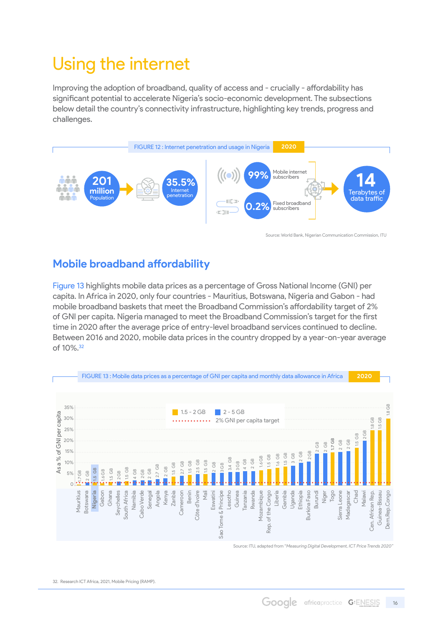# Using the internet

Improving the adoption of broadband, quality of access and - crucially - affordability has significant potential to accelerate Nigeria's socio-economic development. The subsections below detail the country's connectivity infrastructure, highlighting key trends, progress and challenges.



Source: World Bank, Nigerian Communication Commission, ITU

### **Mobile broadband affordability**

Figure 13 highlights mobile data prices as a percentage of Gross National Income (GNI) per capita. In Africa in 2020, only four countries - Mauritius, Botswana, Nigeria and Gabon - had mobile broadband baskets that meet the Broadband Commission's affordability target of 2% of GNI per capita. Nigeria managed to meet the Broadband Commission's target for the first time in 2020 after the average price of entry-level broadband services continued to decline. Between 2016 and 2020, mobile data prices in the country dropped by a year-on-year average of 10%.<sup>32</sup>



32. Research ICT Africa, 2021, Mobile Pricing (RAMP).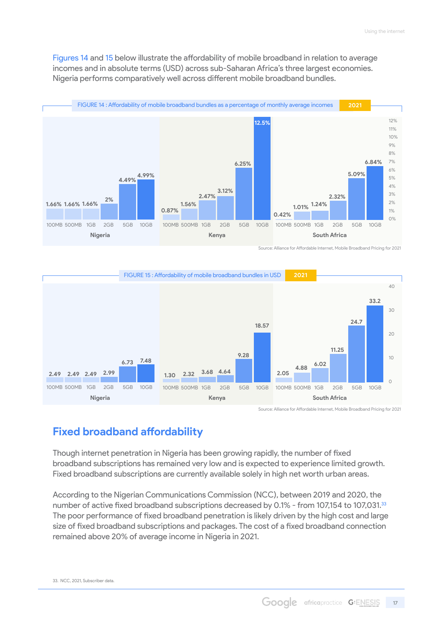<span id="page-16-0"></span>Figures 14 and 15 below illustrate the affordability of mobile broadband in relation to average incomes and in absolute terms (USD) across sub-Saharan Africa's three largest economies. Nigeria performs comparatively well across different mobile broadband bundles.



Source: Alliance for Affordable Internet, Mobile Broadband Pricing for 2021



Source: Alliance for Affordable Internet, Mobile Broadband Pricing for 2021

### **Fixed broadband affordability**

Though internet penetration in Nigeria has been growing rapidly, the number of fixed broadband subscriptions has remained very low and is expected to experience limited growth. Fixed broadband subscriptions are currently available solely in high net worth urban areas.

According to the Nigerian Communications Commission (NCC), between 2019 and 2020, the number of active fixed broadband subscriptions decreased by 0.1% - from 107,154 to 107,031.<sup>33</sup> The poor performance of fixed broadband penetration is likely driven by the high cost and large size of fixed broadband subscriptions and packages. The cost of a fixed broadband connection remained above 20% of average income in Nigeria in 2021.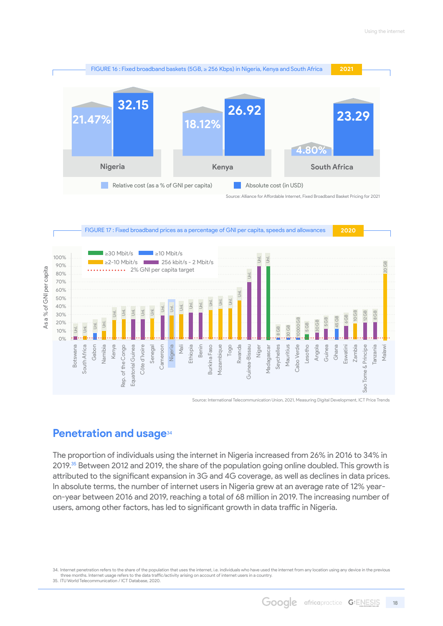<span id="page-17-0"></span>

Source: Alliance for Affordable Internet, Fixed Broadband Basket Pricing for 2021



Source: International Telecommunication Union, 2021, Measuring Digital Development, ICT Price Trends

#### **Penetration and usage**<sup>34</sup>

The proportion of individuals using the internet in Nigeria increased from 26% in 2016 to 34% in 2019.<sup>35</sup> Between 2012 and 2019, the share of the population going online doubled. This growth is attributed to the significant expansion in 3G and 4G coverage, as well as declines in data prices. In absolute terms, the number of internet users in Nigeria grew at an average rate of 12% yearon-year between 2016 and 2019, reaching a total of 68 million in 2019. The increasing number of users, among other factors, has led to significant growth in data traffic in Nigeria.

<sup>34.</sup> Internet penetration refers to the share of the population that uses the internet, i.e. individuals who have used the internet from any location using any device in the previous three months. Internet usage refers to the data traffic/activity arising on account of internet users in a country. 35. ITU World Telecommunication / ICT Database, 2020.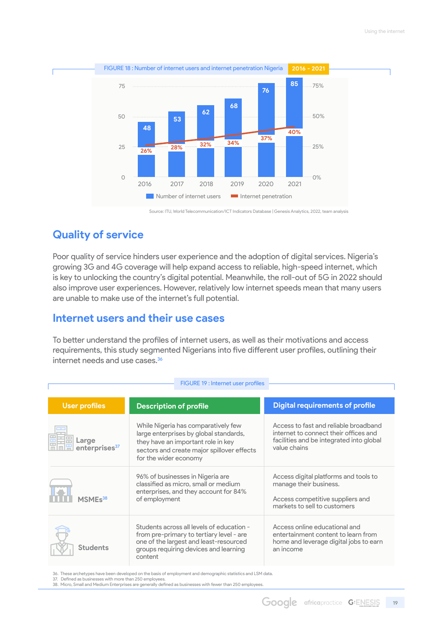<span id="page-18-0"></span>

Source: ITU, World Telecommunication/ICT Indicators Database | Genesis Analytics, 2022, team analysis

### **Quality of service**

Poor quality of service hinders user experience and the adoption of digital services. Nigeria's growing 3G and 4G coverage will help expand access to reliable, high-speed internet, which is key to unlocking the country's digital potential. Meanwhile, the roll-out of 5G in 2022 should also improve user experiences. However, relatively low internet speeds mean that many users are unable to make use of the internet's full potential.

#### **Internet users and their use cases**

To better understand the profiles of internet users, as well as their motivations and access requirements, this study segmented Nigerians into five different user profiles, outlining their internet needs and use cases.<sup>36</sup>

 $FIGURE 19 : Internet user profile$ 

| <b>User profiles</b>               | <b>Description of profile</b>                                                                                                                                                              | <b>Digital requirements of profile</b>                                                                                                     |  |  |
|------------------------------------|--------------------------------------------------------------------------------------------------------------------------------------------------------------------------------------------|--------------------------------------------------------------------------------------------------------------------------------------------|--|--|
| Large<br>enterprises <sup>37</sup> | While Nigeria has comparatively few<br>large enterprises by global standards,<br>they have an important role in key<br>sectors and create major spillover effects<br>for the wider economy | Access to fast and reliable broadband<br>internet to connect their offices and<br>facilities and be integrated into global<br>value chains |  |  |
| MSME <sub>s38</sub>                | 96% of businesses in Nigeria are<br>classified as micro, small or medium<br>enterprises, and they account for 84%<br>of employment                                                         | Access digital platforms and tools to<br>manage their business.<br>Access competitive suppliers and<br>markets to sell to customers        |  |  |
| Students                           | Students across all levels of education -<br>from pre-primary to tertiary level - are<br>one of the largest and least-resourced<br>groups requiring devices and learning<br>content        | Access online educational and<br>entertainment content to learn from<br>home and leverage digital jobs to earn<br>an income                |  |  |

36. These archetypes have been developed on the basis of employment and demographic statistics and LSM data. 

37. Defined as businesses with more than 250 employees.<br>38. Micro, Small and Medium Enterprises are generally defined as businesses with fewer than 250 employees.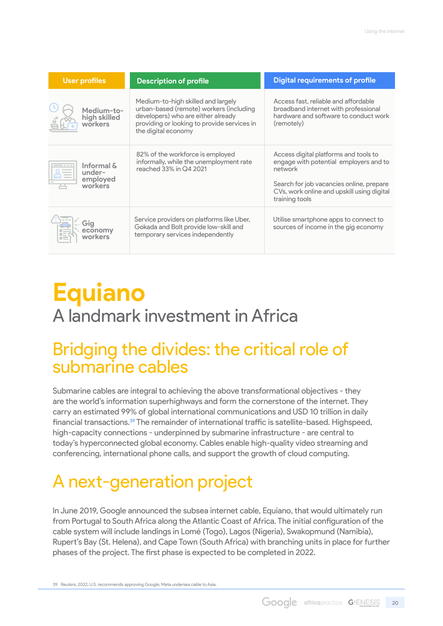| <b>User profiles</b>                        | <b>Description of profile</b>                                                                                                                                                             | <b>Digital requirements of profile</b>                                                                                                                                                                 |
|---------------------------------------------|-------------------------------------------------------------------------------------------------------------------------------------------------------------------------------------------|--------------------------------------------------------------------------------------------------------------------------------------------------------------------------------------------------------|
| Medium-to-<br>high skilled<br>workers       | Medium-to-high skilled and largely<br>urban-based (remote) workers (including<br>developers) who are either already<br>providing or looking to provide services in<br>the digital economy | Access fast, reliable and affordable<br>broadband internet with professional<br>hardware and software to conduct work<br>(remotely)                                                                    |
| Informal &<br>under-<br>employed<br>workers | 82% of the workforce is employed<br>informally, while the unemployment rate<br>reached 33% in Q4 2021                                                                                     | Access digital platforms and tools to<br>engage with potential employers and to<br>network<br>Search for job vacancies online, prepare<br>CVs, work online and upskill using digital<br>training tools |
| Gig<br>economy<br>workers                   | Service providers on platforms like Uber,<br>Gokada and Bolt provide low-skill and<br>temporary services independently                                                                    | Utilise smartphone apps to connect to<br>sources of income in the gig economy                                                                                                                          |

# **Equiano** A landmark investment in Africa

# Bridging the divides: the critical role of submarine cables

Submarine cables are integral to achieving the above transformational objectives - they are the world's information superhighways and form the cornerstone of the internet. They carry an estimated 99% of global international communications and USD 10 trillion in daily financial transactions.39 The remainder of international traffic is satellite-based. Highspeed, high-capacity connections - underpinned by submarine infrastructure - are central to today's hyperconnected global economy. Cables enable high-quality video streaming and conferencing, international phone calls, and support the growth of cloud computing.

# A next-generation project

In June 2019, Google announced the subsea internet cable, Equiano, that would ultimately run from Portugal to South Africa along the Atlantic Coast of Africa. The initial configuration of the cable system will include landings in Lomé (Togo), Lagos (Nigeria), Swakopmund (Namibia), Rupert's Bay (St. Helena), and Cape Town (South Africa) with branching units in place for further phases of the project. The first phase is expected to be completed in 2022.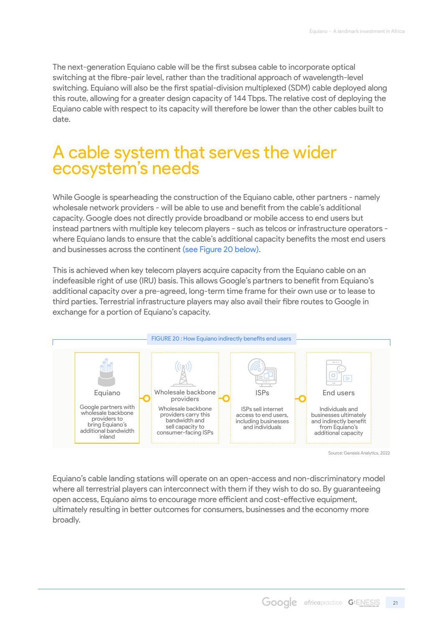<span id="page-20-0"></span>The next-generation Equiano cable will be the first subsea cable to incorporate optical switching at the fibre-pair level, rather than the traditional approach of wavelength-level switching. Equiano will also be the first spatial-division multiplexed (SDM) cable deployed along this route, allowing for a greater design capacity of 144 Tbps. The relative cost of deploying the Equiano cable with respect to its capacity will therefore be lower than the other cables built to date.

## A cable system that serves the wider ecosystem's needs

While Google is spearheading the construction of the Equiano cable, other partners - namely wholesale network providers - will be able to use and benefit from the cable's additional capacity. Google does not directly provide broadband or mobile access to end users but instead partners with multiple key telecom players - such as telcos or infrastructure operators where Equiano lands to ensure that the cable's additional capacity benefits the most end users and businesses across the continent (see Figure 20 below).

This is achieved when key telecom players acquire capacity from the Equiano cable on an indefeasible right of use (IRU) basis. This allows Google's partners to benefit from Equiano's additional capacity over a pre-agreed, long-term time frame for their own use or to lease to third parties. Terrestrial infrastructure players may also avail their fibre routes to Google in exchange for a portion of Equiano's capacity.



Source: Genesis Analytics, 2022

Equiano's cable landing stations will operate on an open-access and non-discriminatory model where all terrestrial players can interconnect with them if they wish to do so. By guaranteeing open access, Equiano aims to encourage more efficient and cost-effective equipment, ultimately resulting in better outcomes for consumers, businesses and the economy more broadly.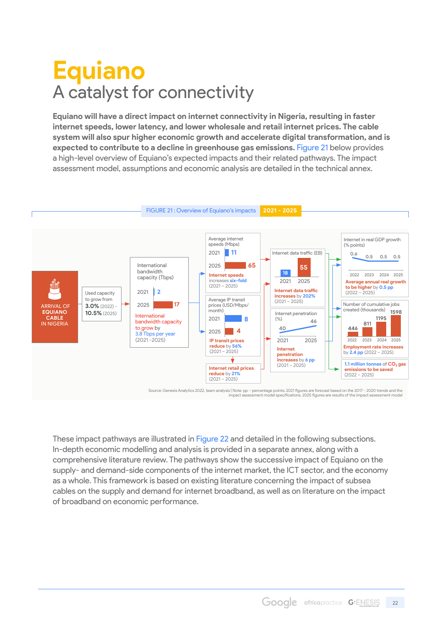# <span id="page-21-0"></span>**Equiano** A catalyst for connectivity

**Equiano will have a direct impact on internet connectivity in Nigeria, resulting in faster internet speeds, lower latency, and lower wholesale and retail internet prices. The cable system will also spur higher economic growth and accelerate digital transformation, and is expected to contribute to a decline in greenhouse gas emissions.** Figure 21 below provides a high-level overview of Equiano's expected impacts and their related pathways. The impact assessment model, assumptions and economic analysis are detailed in the technical annex.



Source: Genesis Analytics 2022, team analysis | Note: pp – percentage points; 2021 figures are forecast based on the 2017 - 2020 trends and the<br>impact assessment model specifications. 2025 figures are results of the impact

These impact pathways are illustrated in Figure 22 and detailed in the following subsections. In-depth economic modelling and analysis is provided in a separate annex, along with a comprehensive literature review. The pathways show the successive impact of Equiano on the supply- and demand-side components of the internet market, the ICT sector, and the economy as a whole. This framework is based on existing literature concerning the impact of subsea cables on the supply and demand for internet broadband, as well as on literature on the impact of broadband on economic performance.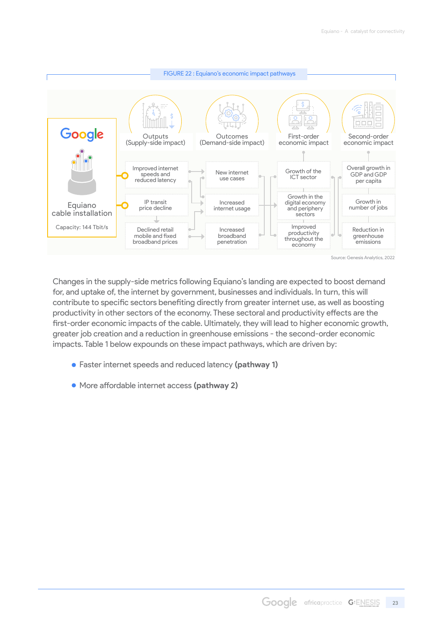

Changes in the supply-side metrics following Equiano's landing are expected to boost demand for, and uptake of, the internet by government, businesses and individuals. In turn, this will contribute to specific sectors benefiting directly from greater internet use, as well as boosting productivity in other sectors of the economy. These sectoral and productivity effects are the first-order economic impacts of the cable. Ultimately, they will lead to higher economic growth, greater job creation and a reduction in greenhouse emissions - the second-order economic impacts. Table 1 below expounds on these impact pathways, which are driven by:

- Faster internet speeds and reduced latency **(pathway 1)**
- More affordable internet access **(pathway 2)**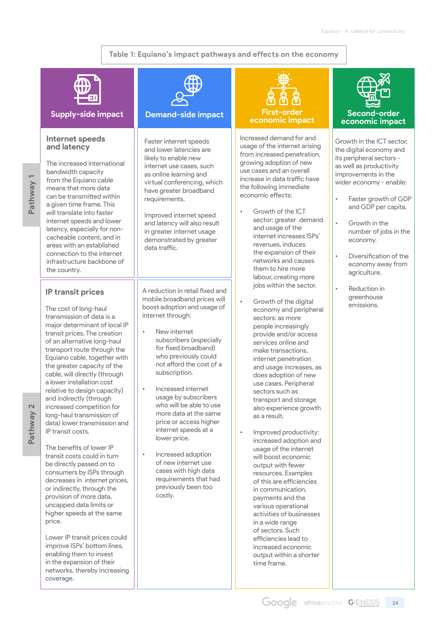#### **Table 1: Equiano's impact pathways and effects on the economy**



#### **Supply-side impact Demand-side impact**

#### **Internet speeds and latency**

**Pathway 1** Pathway

The increased international bandwidth capacity from the Equiano cable means that more data can be transmitted within a given time frame. This will translate into faster internet speeds and lower latency, especially for noncacheable content, and in areas with an established connection to the internet infrastructure backbone of the country.

#### **IP transit prices**

The cost of long-haul transmission of data is a major determinant of local IP transit prices. The creation of an alternative long-haul transport route through the Equiano cable, together with the greater capacity of the cable, will directly (through a lower installation cost relative to design capacity) and indirectly (through increased competition for long-haul transmission of data) lower transmission and IP transit costs.

The benefits of lower IP transit costs could in turn be directly passed on to consumers by ISPs through decreases in internet prices, or indirectly, through the provision of more data, uncapped data limits or higher speeds at the same price.

Lower IP transit prices could improve ISPs' bottom lines, enabling them to invest in the expansion of their networks, thereby increasing coverage.



Faster internet speeds and lower latencies are likely to enable new internet use cases, such as online learning and virtual conferencing, which have greater broadband requirements.

Improved internet speed and latency will also result in greater internet usage demonstrated by greater data traffic.

A reduction in retail fixed and mobile broadband prices will boost adoption and usage of internet through:

- New internet subscribers (especially for fixed broadband) who previously could not afford the cost of a subscription.
- Increased internet usage by subscribers who will be able to use more data at the same price or access higher internet speeds at a lower price.
- Increased adoption of new internet use cases with high data requirements that had previously been too costly.

# **economic impact**

Increased demand for and usage of the internet arising from increased penetration, growing adoption of new use cases and an overall increase in data traffic have the following immediate economic effects:

- Growth of the ICT sector: greater demand and usage of the internet increases ISPs' revenues, induces the expansion of their networks and causes them to hire more labour, creating more jobs within the sector.
- Growth of the digital economy and peripheral sectors: as more people increasingly provide and/or access services online and make transactions, internet penetration and usage increases, as does adoption of new use cases. Peripheral sectors such as transport and storage also experience growth as a result.
- Improved productivity: increased adoption and usage of the internet will boost economic output with fewer resources. Examples of this are efficiencies in communication, payments and the various operational activities of businesses in a wide range of sectors. Such efficiencies lead to increased economic output within a shorter time frame.



#### **Second-order economic impact**

Growth in the ICT sector, the digital economy and its peripheral sectors as well as productivity improvements in the wider economy - enable:

- Faster growth of GDP and GDP per capita.
- Growth in the number of jobs in the economy.
	- Diversification of the economy away from agriculture.
- Reduction in greenhouse emissions.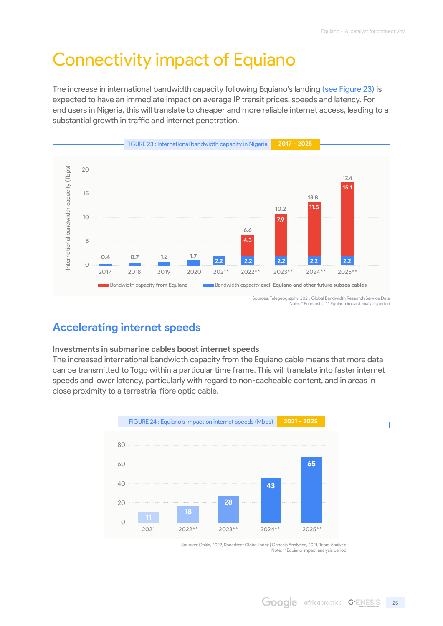# <span id="page-24-0"></span>Connectivity impact of Equiano

The increase in international bandwidth capacity following Equiano's landing (see Figure 23) is expected to have an immediate impact on average IP transit prices, speeds and latency. For end users in Nigeria, this will translate to cheaper and more reliable internet access, leading to a substantial growth in traffic and internet penetration.



### **Accelerating internet speeds**

#### **Investments in submarine cables boost internet speeds**

The increased international bandwidth capacity from the Equiano cable means that more data can be transmitted to Togo within a particular time frame. This will translate into faster internet speeds and lower latency, particularly with regard to non-cacheable content, and in areas in close proximity to a terrestrial fibre optic cable.



Note: \*\*Equiano impact analysis period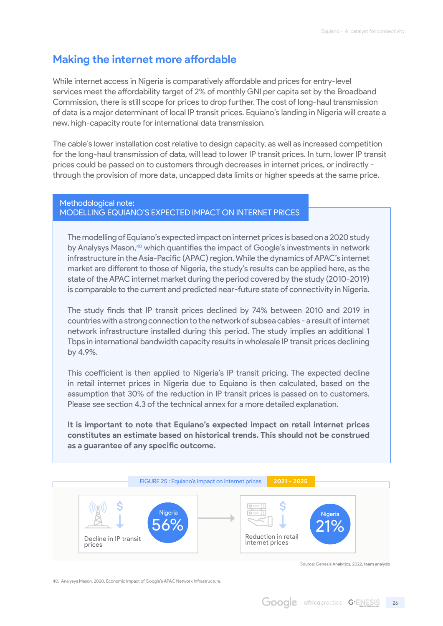### <span id="page-25-0"></span>**Making the internet more affordable**

While internet access in Nigeria is comparatively affordable and prices for entry-level services meet the affordability target of 2% of monthly GNI per capita set by the Broadband Commission, there is still scope for prices to drop further. The cost of long-haul transmission of data is a major determinant of local IP transit prices. Equiano's landing in Nigeria will create a new, high-capacity route for international data transmission.

The cable's lower installation cost relative to design capacity, as well as increased competition for the long-haul transmission of data, will lead to lower IP transit prices. In turn, lower IP transit prices could be passed on to customers through decreases in internet prices, or indirectly through the provision of more data, uncapped data limits or higher speeds at the same price.

#### Methodological note: modelling Equiano's expected impact on internet prices

The modelling of Equiano's expected impact on internet prices is based on a 2020 study by Analysys Mason,<sup>40</sup> which quantifies the impact of Google's investments in network infrastructure in the Asia-Pacific (APAC) region. While the dynamics of APAC's internet market are different to those of Nigeria, the study's results can be applied here, as the state of the APAC internet market during the period covered by the study (2010-2019) is comparable to the current and predicted near-future state of connectivity in Nigeria.

The study finds that IP transit prices declined by 74% between 2010 and 2019 in countries with a strong connection to the network of subsea cables - a result of internet network infrastructure installed during this period. The study implies an additional 1 Tbps in international bandwidth capacity results in wholesale IP transit prices declining by 4.9%.

This coefficient is then applied to Nigeria's IP transit pricing. The expected decline in retail internet prices in Nigeria due to Equiano is then calculated, based on the assumption that 30% of the reduction in IP transit prices is passed on to customers. Please see section 4.3 of the technical annex for a more detailed explanation.

**It is important to note that Equiano's expected impact on retail internet prices constitutes an estimate based on historical trends. This should not be construed as a guarantee of any specific outcome.**



Source: Genesis Analytics, 2022, team analysis

40. Analysys Mason, 2020, Economic Impact of Google's APAC Network Infrastructure.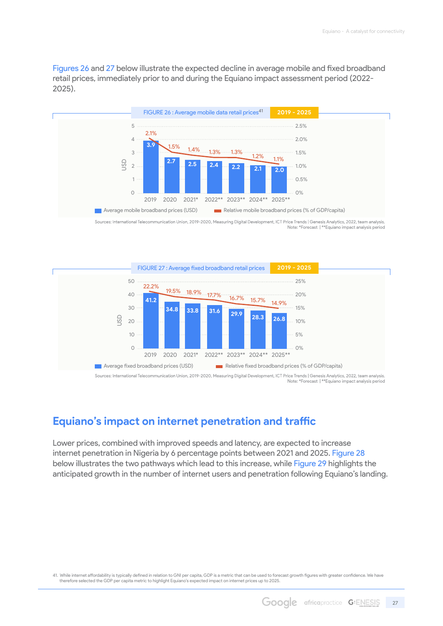<span id="page-26-0"></span>Figures 26 and 27 below illustrate the expected decline in average mobile and fixed broadband retail prices, immediately prior to and during the Equiano impact assessment period (2022- 2025).



Sources: International Telecommunication Union, 2019-2020, Measuring Digital Development, ICT Price Trends | Genesis Analytics, 2022, team analysis.<br>Note: \*Forecast | \*\*Equiano impact analysis period



Note: \*Forecast | \*\*Equiano impact analysis period

### **Equiano's impact on internet penetration and traffic**

Lower prices, combined with improved speeds and latency, are expected to increase internet penetration in Nigeria by 6 percentage points between 2021 and 2025. Figure 28 below illustrates the two pathways which lead to this increase, while Figure 29 highlights the anticipated growth in the number of internet users and penetration following Equiano's landing.

41. While internet affordability is typically defined in relation to GNI per capita, GDP is a metric that can be used to forecast growth figures with greater confidence. We have therefore selected the GDP per capita metric to highlight Equiano's expected impact on internet prices up to 2025.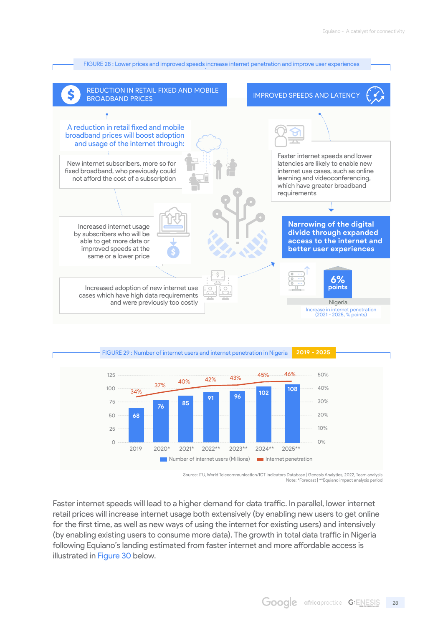



Source: ITU, World Telecommunication/ICT Indicators Database | Genesis Analytics, 2022, Team analysis Note: \*Forecast | \*\*Equiano impact analysis period

Faster internet speeds will lead to a higher demand for data traffic. In parallel, lower internet retail prices will increase internet usage both extensively (by enabling new users to get online for the first time, as well as new ways of using the internet for existing users) and intensively (by enabling existing users to consume more data). The growth in total data traffic in Nigeria following Equiano's landing estimated from faster internet and more affordable access is illustrated in Figure 30 below.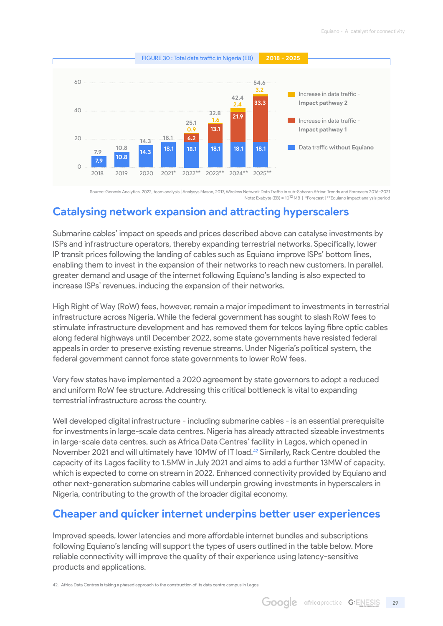<span id="page-28-0"></span>

Source: Genesis Analytics, 2022, team analysis | Analysys Mason, 2017, Wireless Network Data Traffic in sub-Saharan Africa: Trends and Forecasts 2016–2021 Note: Exabyte (EB) = 1012 MB | \*Forecast | \*\*Equiano impact analysis period

### **Catalysing network expansion and attracting hyperscalers**

Submarine cables' impact on speeds and prices described above can catalyse investments by ISPs and infrastructure operators, thereby expanding terrestrial networks. Specifically, lower IP transit prices following the landing of cables such as Equiano improve ISPs' bottom lines, enabling them to invest in the expansion of their networks to reach new customers. In parallel, greater demand and usage of the internet following Equiano's landing is also expected to increase ISPs' revenues, inducing the expansion of their networks.

High Right of Way (RoW) fees, however, remain a major impediment to investments in terrestrial infrastructure across Nigeria. While the federal government has sought to slash RoW fees to stimulate infrastructure development and has removed them for telcos laying fibre optic cables along federal highways until December 2022, some state governments have resisted federal appeals in order to preserve existing revenue streams. Under Nigeria's political system, the federal government cannot force state governments to lower RoW fees.

Very few states have implemented a 2020 agreement by state governors to adopt a reduced and uniform RoW fee structure. Addressing this critical bottleneck is vital to expanding terrestrial infrastructure across the country.

Well developed digital infrastructure - including submarine cables - is an essential prerequisite for investments in large-scale data centres. Nigeria has already attracted sizeable investments in large-scale data centres, such as Africa Data Centres' facility in Lagos, which opened in November 2021 and will ultimately have 10MW of IT load.<sup>42</sup> Similarly, Rack Centre doubled the capacity of its Lagos facility to 1.5MW in July 2021 and aims to add a further 13MW of capacity, which is expected to come on stream in 2022. Enhanced connectivity provided by Equiano and other next-generation submarine cables will underpin growing investments in hyperscalers in Nigeria, contributing to the growth of the broader digital economy.

### **Cheaper and quicker internet underpins better user experiences**

Improved speeds, lower latencies and more affordable internet bundles and subscriptions following Equiano's landing will support the types of users outlined in the table below. More reliable connectivity will improve the quality of their experience using latency-sensitive products and applications.

42. Africa Data Centres is taking a phased approach to the construction of its data centre campus in Lagos.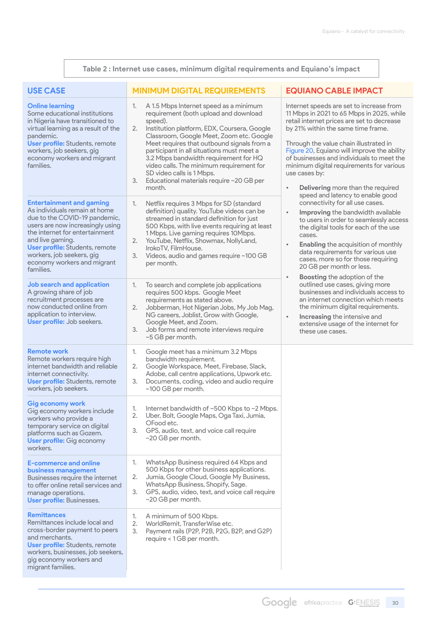|                                                                                                               | Table 2 : Internet use cases, minimum digital requirements and Equiano's impact                                                                                                                                                                 |                                                                                                                                                                                                                                                                                                                                                                                                                                                                            |                                                                                                                                                                                                                                                                                                                                                                                                                                                                                                                                                                                                                                                                                                                                                                                                                                                                                                                                                                                                                                                                                                                                   |  |
|---------------------------------------------------------------------------------------------------------------|-------------------------------------------------------------------------------------------------------------------------------------------------------------------------------------------------------------------------------------------------|----------------------------------------------------------------------------------------------------------------------------------------------------------------------------------------------------------------------------------------------------------------------------------------------------------------------------------------------------------------------------------------------------------------------------------------------------------------------------|-----------------------------------------------------------------------------------------------------------------------------------------------------------------------------------------------------------------------------------------------------------------------------------------------------------------------------------------------------------------------------------------------------------------------------------------------------------------------------------------------------------------------------------------------------------------------------------------------------------------------------------------------------------------------------------------------------------------------------------------------------------------------------------------------------------------------------------------------------------------------------------------------------------------------------------------------------------------------------------------------------------------------------------------------------------------------------------------------------------------------------------|--|
| <b>USE CASE</b>                                                                                               |                                                                                                                                                                                                                                                 | <b>MINIMUM DIGITAL REQUIREMENTS</b>                                                                                                                                                                                                                                                                                                                                                                                                                                        | <b>EQUIANO CABLE IMPACT</b>                                                                                                                                                                                                                                                                                                                                                                                                                                                                                                                                                                                                                                                                                                                                                                                                                                                                                                                                                                                                                                                                                                       |  |
| <b>Online learning</b><br>pandemic.<br>workers, job seekers, gig<br>families.                                 | Some educational institutions<br>in Nigeria have transitioned to<br>virtual learning as a result of the<br><b>User profile:</b> Students, remote<br>economy workers and migrant                                                                 | A 1.5 Mbps Internet speed as a minimum<br>1.<br>requirement (both upload and download<br>speed).<br>Institution platform, EDX, Coursera, Google<br>2.<br>Classroom, Google Meet, Zoom etc. Google<br>Meet requires that outbound signals from a<br>participant in all situations must meet a<br>3.2 Mbps bandwidth requirement for HQ<br>video calls. The minimum requirement for<br>SD video calls is 1 Mbps.<br>3.<br>Educational materials require ~20 GB per<br>month. | Internet speeds are set to increase from<br>11 Mbps in 2021 to 65 Mbps in 2025, while<br>retail internet prices are set to decrease<br>by 21% within the same time frame.<br>Through the value chain illustrated in<br>Figure 20, Equiano will improve the ability<br>of businesses and individuals to meet the<br>minimum digital requirements for various<br>use cases by:<br>Delivering more than the required<br>$\bullet$<br>speed and latency to enable good<br>connectivity for all use cases.<br>Improving the bandwidth available<br>$\bullet$<br>to users in order to seamlessly access<br>the digital tools for each of the use<br>cases.<br><b>Enabling the acquisition of monthly</b><br>$\bullet$<br>data requirements for various use<br>cases, more so for those requiring<br>20 GB per month or less.<br>Boosting the adoption of the<br>$\bullet$<br>outlined use cases, giving more<br>businesses and individuals access to<br>an internet connection which meets<br>the minimum digital requirements.<br>Increasing the intensive and<br>$\bullet$<br>extensive usage of the internet for<br>these use cases. |  |
| and live gaming.<br>workers, job seekers, gig<br>families.                                                    | <b>Entertainment and gaming</b><br>As individuals remain at home<br>due to the COVID-19 pandemic,<br>users are now increasingly using<br>the internet for entertainment<br><b>User profile:</b> Students, remote<br>economy workers and migrant | Netflix requires 3 Mbps for SD (standard<br>1.<br>definition) quality. YouTube videos can be<br>streamed in standard definition for just<br>500 Kbps, with live events requiring at least<br>1 Mbps. Live gaming requires 10 Mbps.<br>YouTube, Netflix, Showmax, NollyLand,<br>2.<br>IrokoTV. FilmHouse.<br>3.<br>Videos, audio and games require ~100 GB<br>per month.                                                                                                    |                                                                                                                                                                                                                                                                                                                                                                                                                                                                                                                                                                                                                                                                                                                                                                                                                                                                                                                                                                                                                                                                                                                                   |  |
| A growing share of job<br>application to interview.                                                           | <b>Job search and application</b><br>recruitment processes are<br>now conducted online from<br>User profile: Job seekers.                                                                                                                       | To search and complete job applications<br>1.<br>requires 500 kbps. Google Meet<br>requirements as stated above.<br>Jobberman, Hot Nigerian Jobs, My Job Mag,<br>2.<br>NG careers, Joblist, Grow with Google,<br>Google Meet, and Zoom.<br>Job forms and remote interviews require<br>3.<br>~5 GB per month.                                                                                                                                                               |                                                                                                                                                                                                                                                                                                                                                                                                                                                                                                                                                                                                                                                                                                                                                                                                                                                                                                                                                                                                                                                                                                                                   |  |
| <b>Remote work</b><br>internet connectivity.<br>workers, job seekers.                                         | Remote workers require high<br>internet bandwidth and reliable<br><b>User profile:</b> Students, remote                                                                                                                                         | Google meet has a minimum 3.2 Mbps<br>1.<br>bandwidth requirement.<br>Google Workspace, Meet, Firebase, Slack,<br>2.<br>Adobe, call centre applications, Upwork etc.<br>Documents, coding, video and audio require<br>З.<br>~100 GB per month.                                                                                                                                                                                                                             |                                                                                                                                                                                                                                                                                                                                                                                                                                                                                                                                                                                                                                                                                                                                                                                                                                                                                                                                                                                                                                                                                                                                   |  |
| Gig economy work<br>workers who provide a<br>workers.                                                         | Gig economy workers include<br>temporary service on digital<br>platforms such as Gozem.<br><b>User profile:</b> Gig economy                                                                                                                     | Internet bandwidth of ~500 Kbps to ~2 Mbps.<br>1.<br>2.<br>Uber, Bolt, Google Maps, Oga Taxi, Jumia,<br>OFood etc.<br>GPS, audio, text, and voice call require<br>3.<br>$~\sim$ 20 GB per month.                                                                                                                                                                                                                                                                           |                                                                                                                                                                                                                                                                                                                                                                                                                                                                                                                                                                                                                                                                                                                                                                                                                                                                                                                                                                                                                                                                                                                                   |  |
| <b>E-commerce and online</b><br>business management<br>manage operations.<br><b>User profile: Businesses.</b> | Businesses require the internet<br>to offer online retail services and                                                                                                                                                                          | WhatsApp Business required 64 Kbps and<br>1.<br>500 Kbps for other business applications.<br>Jumia, Google Cloud, Google My Business,<br>2.<br>WhatsApp Business, Shopify, Sage.<br>3.<br>GPS, audio, video, text, and voice call require<br>$~\sim$ 20 GB per month.                                                                                                                                                                                                      |                                                                                                                                                                                                                                                                                                                                                                                                                                                                                                                                                                                                                                                                                                                                                                                                                                                                                                                                                                                                                                                                                                                                   |  |
| <b>Remittances</b><br>and merchants.<br>migrant families.                                                     | Remittances include local and<br>cross-border payment to peers<br><b>User profile:</b> Students, remote<br>workers, businesses, job seekers,<br>gig economy workers and                                                                         | A minimum of 500 Kbps.<br>1.<br>2.<br>WorldRemit, TransferWise etc.<br>Payment rails (P2P, P2B, P2G, B2P, and G2P)<br>3.<br>require < 1 GB per month.                                                                                                                                                                                                                                                                                                                      |                                                                                                                                                                                                                                                                                                                                                                                                                                                                                                                                                                                                                                                                                                                                                                                                                                                                                                                                                                                                                                                                                                                                   |  |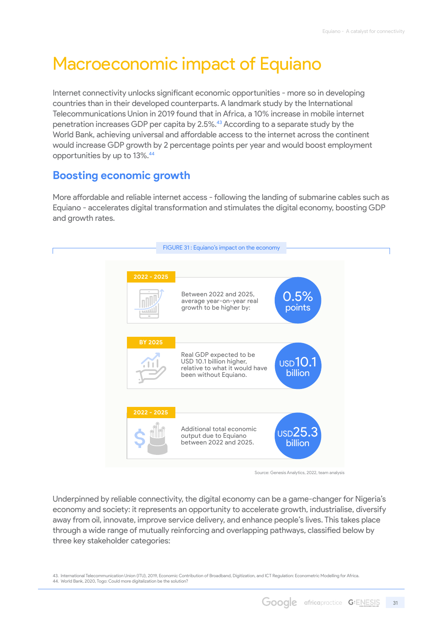# <span id="page-30-0"></span>Macroeconomic impact of Equiano

Internet connectivity unlocks significant economic opportunities - more so in developing countries than in their developed counterparts. A landmark study by the International Telecommunications Union in 2019 found that in Africa, a 10% increase in mobile internet penetration increases GDP per capita by 2.5%.43 According to a separate study by the World Bank, achieving universal and affordable access to the internet across the continent would increase GDP growth by 2 percentage points per year and would boost employment opportunities by up to 13%.44

### **Boosting economic growth**

More affordable and reliable internet access - following the landing of submarine cables such as Equiano - accelerates digital transformation and stimulates the digital economy, boosting GDP and growth rates.



Source: Genesis Analytics, 2022, team analysis

Underpinned by reliable connectivity, the digital economy can be a game-changer for Nigeria's economy and society: it represents an opportunity to accelerate growth, industrialise, diversify away from oil, innovate, improve service delivery, and enhance people's lives. This takes place through a wide range of mutually reinforcing and overlapping pathways, classified below by three key stakeholder categories:

43. International Telecommunication Union (ITU), 2019, Economic Contribution of Broadband, Digitization, and ICT Regulation: Econometric Modelling for Africa.  44. World Bank, 2020, Togo: Could more digitalization be the solution?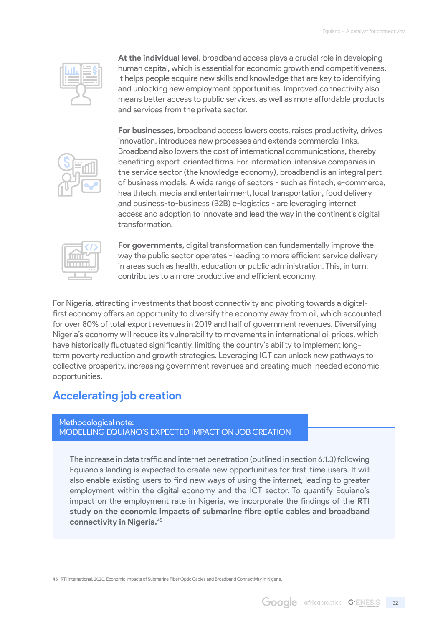<span id="page-31-0"></span>

**At the individual level**, broadband access plays a crucial role in developing human capital, which is essential for economic growth and competitiveness. It helps people acquire new skills and knowledge that are key to identifying and unlocking new employment opportunities. Improved connectivity also means better access to public services, as well as more affordable products and services from the private sector.



**For businesses**, broadband access lowers costs, raises productivity, drives innovation, introduces new processes and extends commercial links. Broadband also lowers the cost of international communications, thereby benefiting export-oriented firms. For information-intensive companies in the service sector (the knowledge economy), broadband is an integral part of business models. A wide range of sectors - such as fintech, e-commerce, healthtech, media and entertainment, local transportation, food delivery and business-to-business (B2B) e-logistics - are leveraging internet access and adoption to innovate and lead the way in the continent's digital transformation.



**For governments,** digital transformation can fundamentally improve the way the public sector operates - leading to more efficient service delivery in areas such as health, education or public administration. This, in turn, contributes to a more productive and efficient economy.

For Nigeria, attracting investments that boost connectivity and pivoting towards a digitalfirst economy offers an opportunity to diversify the economy away from oil, which accounted for over 80% of total export revenues in 2019 and half of government revenues. Diversifying Nigeria's economy will reduce its vulnerability to movements in international oil prices, which have historically fluctuated significantly, limiting the country's ability to implement longterm poverty reduction and growth strategies. Leveraging ICT can unlock new pathways to collective prosperity, increasing government revenues and creating much-needed economic opportunities.

### **Accelerating job creation**

#### Methodological note: MODELLING EQUIANO'S EXPECTED IMPACT ON JOB CREATION

The increase in data traffic and internet penetration (outlined in section 6.1.3) following Equiano's landing is expected to create new opportunities for first-time users. It will also enable existing users to find new ways of using the internet, leading to greater employment within the digital economy and the ICT sector. To quantify Equiano's impact on the employment rate in Nigeria, we incorporate the findings of the **RTI study on the economic impacts of submarine fibre optic cables and broadband connectivity in Nigeria.**<sup>45</sup>

45. RTI International, 2020, Economic Impacts of Submarine Fiber Optic Cables and Broadband Connectivity in Nigeria.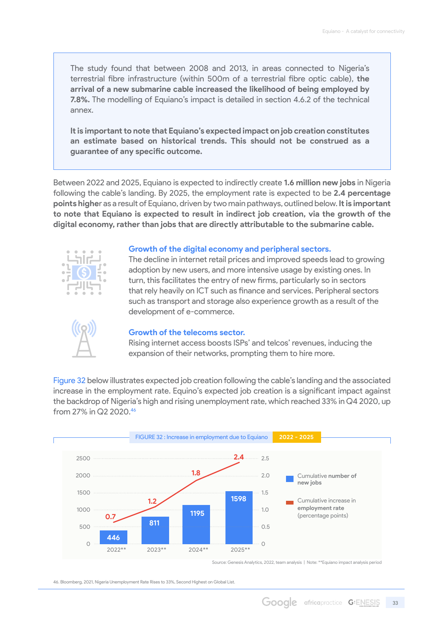The study found that between 2008 and 2013, in areas connected to Nigeria's terrestrial fibre infrastructure (within 500m of a terrestrial fibre optic cable), **the arrival of a new submarine cable increased the likelihood of being employed by 7.8%.** The modelling of Equiano's impact is detailed in section 4.6.2 of the technical annex.

**It is important to note that Equiano's expected impact on job creation constitutes an estimate based on historical trends. This should not be construed as a guarantee of any specific outcome.**

Between 2022 and 2025, Equiano is expected to indirectly create **1.6 million new jobs** in Nigeria following the cable's landing. By 2025, the employment rate is expected to be **2.4 percentage points highe**r as a result of Equiano, driven by two main pathways, outlined below. **It is important to note that Equiano is expected to result in indirect job creation, via the growth of the digital economy, rather than jobs that are directly attributable to the submarine cable.**



#### **Growth of the digital economy and peripheral sectors.**

The decline in internet retail prices and improved speeds lead to growing adoption by new users, and more intensive usage by existing ones. In turn, this facilitates the entry of new firms, particularly so in sectors that rely heavily on ICT such as finance and services. Peripheral sectors such as transport and storage also experience growth as a result of the development of e-commerce.



#### **Growth of the telecoms sector.**

Rising internet access boosts ISPs' and telcos' revenues, inducing the expansion of their networks, prompting them to hire more.

Figure 32 below illustrates expected job creation following the cable's landing and the associated increase in the employment rate. Equino's expected job creation is a significant impact against the backdrop of Nigeria's high and rising unemployment rate, which reached 33% in Q4 2020, up from 27% in Q2 2020.46



Source: Genesis Analytics, 2022, team analysis | Note: \*\*Equiano impact analysis period

46. Bloomberg, 2021, Nigeria Unemployment Rate Rises to 33%, Second Highest on Global List.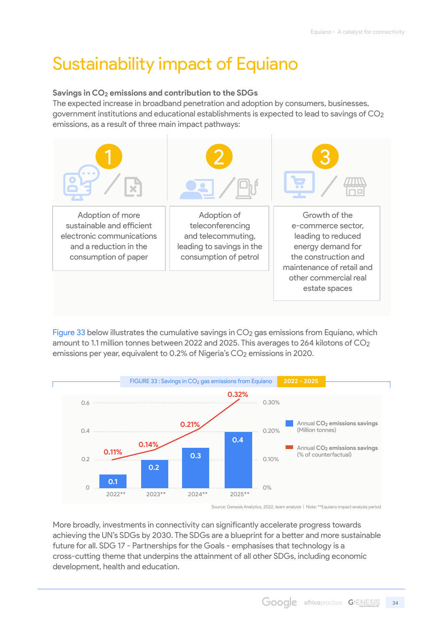# <span id="page-33-0"></span>Sustainability impact of Equiano

#### **Savings in CO2 emissions and contribution to the SDGs**

The expected increase in broadband penetration and adoption by consumers, businesses, government institutions and educational establishments is expected to lead to savings of CO2 emissions, as a result of three main impact pathways:



Figure 33 below illustrates the cumulative savings in CO<sub>2</sub> gas emissions from Equiano, which amount to 1.1 million tonnes between 2022 and 2025. This averages to 264 kilotons of CO2 emissions per year, equivalent to 0.2% of Nigeria's CO2 emissions in 2020.



Source: Genesis Analytics, 2022, team analysis | Note: \*\*Equiano impact analysis period

More broadly, investments in connectivity can significantly accelerate progress towards achieving the UN's SDGs by 2030. The SDGs are a blueprint for a better and more sustainable future for all. SDG 17 - Partnerships for the Goals - emphasises that technology is a cross-cutting theme that underpins the attainment of all other SDGs, including economic development, health and education.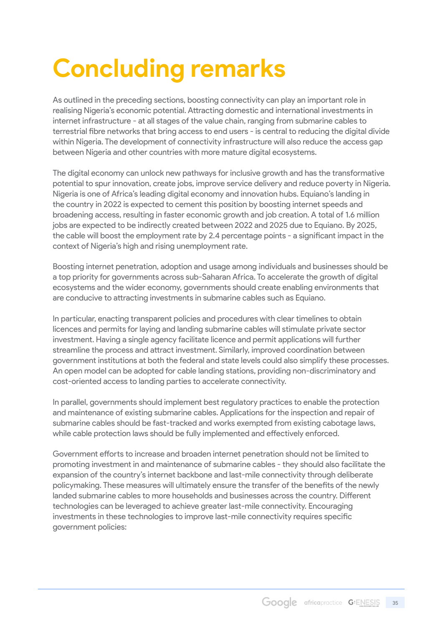# <span id="page-34-0"></span>**Concluding remarks**

As outlined in the preceding sections, boosting connectivity can play an important role in realising Nigeria's economic potential. Attracting domestic and international investments in internet infrastructure - at all stages of the value chain, ranging from submarine cables to terrestrial fibre networks that bring access to end users - is central to reducing the digital divide within Nigeria. The development of connectivity infrastructure will also reduce the access gap between Nigeria and other countries with more mature digital ecosystems.

The digital economy can unlock new pathways for inclusive growth and has the transformative potential to spur innovation, create jobs, improve service delivery and reduce poverty in Nigeria. Nigeria is one of Africa's leading digital economy and innovation hubs. Equiano's landing in the country in 2022 is expected to cement this position by boosting internet speeds and broadening access, resulting in faster economic growth and job creation. A total of 1.6 million jobs are expected to be indirectly created between 2022 and 2025 due to Equiano. By 2025, the cable will boost the employment rate by 2.4 percentage points - a significant impact in the context of Nigeria's high and rising unemployment rate.

Boosting internet penetration, adoption and usage among individuals and businesses should be a top priority for governments across sub-Saharan Africa. To accelerate the growth of digital ecosystems and the wider economy, governments should create enabling environments that are conducive to attracting investments in submarine cables such as Equiano.

In particular, enacting transparent policies and procedures with clear timelines to obtain licences and permits for laying and landing submarine cables will stimulate private sector investment. Having a single agency facilitate licence and permit applications will further streamline the process and attract investment. Similarly, improved coordination between government institutions at both the federal and state levels could also simplify these processes. An open model can be adopted for cable landing stations, providing non-discriminatory and cost-oriented access to landing parties to accelerate connectivity.

In parallel, governments should implement best regulatory practices to enable the protection and maintenance of existing submarine cables. Applications for the inspection and repair of submarine cables should be fast-tracked and works exempted from existing cabotage laws, while cable protection laws should be fully implemented and effectively enforced.

Government efforts to increase and broaden internet penetration should not be limited to promoting investment in and maintenance of submarine cables - they should also facilitate the expansion of the country's internet backbone and last-mile connectivity through deliberate policymaking. These measures will ultimately ensure the transfer of the benefits of the newly landed submarine cables to more households and businesses across the country. Different technologies can be leveraged to achieve greater last-mile connectivity. Encouraging investments in these technologies to improve last-mile connectivity requires specific government policies: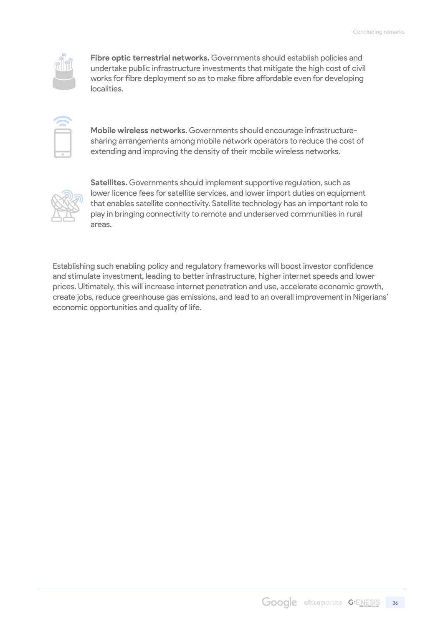

**Fibre optic terrestrial networks.** Governments should establish policies and undertake public infrastructure investments that mitigate the high cost of civil works for fibre deployment so as to make fibre affordable even for developing localities.



**Mobile wireless networks**. Governments should encourage infrastructuresharing arrangements among mobile network operators to reduce the cost of extending and improving the density of their mobile wireless networks.



**Satellites.** Governments should implement supportive regulation, such as lower licence fees for satellite services, and lower import duties on equipment that enables satellite connectivity. Satellite technology has an important role to play in bringing connectivity to remote and underserved communities in rural areas.

Establishing such enabling policy and regulatory frameworks will boost investor confidence and stimulate investment, leading to better infrastructure, higher internet speeds and lower prices. Ultimately, this will increase internet penetration and use, accelerate economic growth, create jobs, reduce greenhouse gas emissions, and lead to an overall improvement in Nigerians' economic opportunities and quality of life.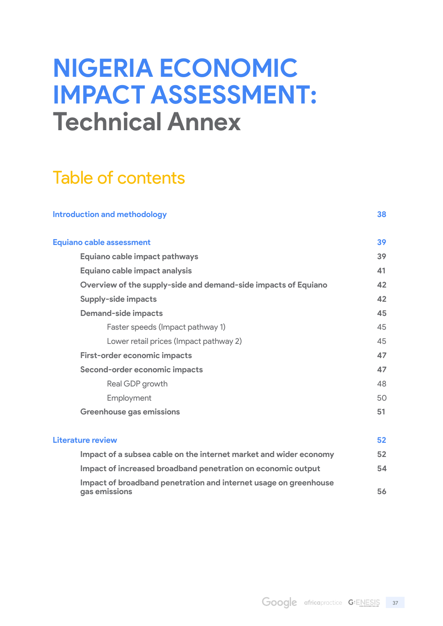# **NIGERIA ECONOMIC IMPACT ASSESSMENT: Technical Annex**

# Table of contents

| <b>Introduction and methodology</b>                                               | 38 |
|-----------------------------------------------------------------------------------|----|
| <b>Equiano cable assessment</b>                                                   | 39 |
| Equiano cable impact pathways                                                     | 39 |
| Equiano cable impact analysis                                                     | 41 |
| Overview of the supply-side and demand-side impacts of Equiano                    | 42 |
| Supply-side impacts                                                               | 42 |
| <b>Demand-side impacts</b>                                                        | 45 |
| Faster speeds (Impact pathway 1)                                                  | 45 |
| Lower retail prices (Impact pathway 2)                                            | 45 |
| <b>First-order economic impacts</b>                                               | 47 |
| Second-order economic impacts                                                     | 47 |
| Real GDP growth                                                                   | 48 |
| Employment                                                                        | 50 |
| <b>Greenhouse gas emissions</b>                                                   | 51 |
| Literature review                                                                 | 52 |
| Impact of a subsea cable on the internet market and wider economy                 | 52 |
| Impact of increased broadband penetration on economic output                      | 54 |
| Impact of broadband penetration and internet usage on greenhouse<br>gas emissions | 56 |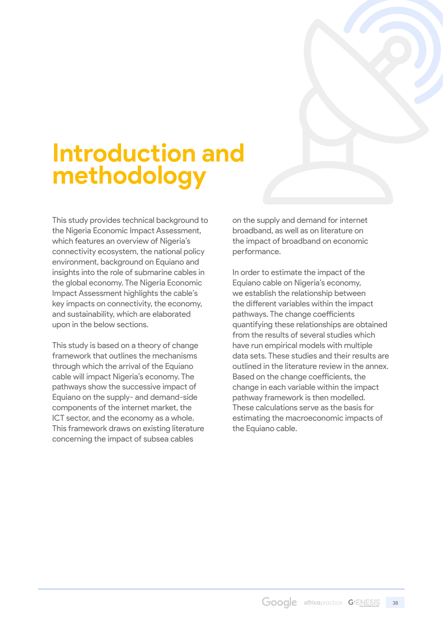# <span id="page-37-0"></span>**Introduction and methodology**

This study provides technical background to the Nigeria Economic Impact Assessment, which features an overview of Nigeria's connectivity ecosystem, the national policy environment, background on Equiano and insights into the role of submarine cables in the global economy. The Nigeria Economic Impact Assessment highlights the cable's key impacts on connectivity, the economy, and sustainability, which are elaborated upon in the below sections.

This study is based on a theory of change framework that outlines the mechanisms through which the arrival of the Equiano cable will impact Nigeria's economy. The pathways show the successive impact of Equiano on the supply- and demand-side components of the internet market, the ICT sector, and the economy as a whole. This framework draws on existing literature concerning the impact of subsea cables

on the supply and demand for internet broadband, as well as on literature on the impact of broadband on economic performance.

In order to estimate the impact of the Equiano cable on Nigeria's economy, we establish the relationship between the different variables within the impact pathways. The change coefficients quantifying these relationships are obtained from the results of several studies which have run empirical models with multiple data sets. These studies and their results are outlined in the literature review in the annex. Based on the change coefficients, the change in each variable within the impact pathway framework is then modelled. These calculations serve as the basis for estimating the macroeconomic impacts of the Equiano cable.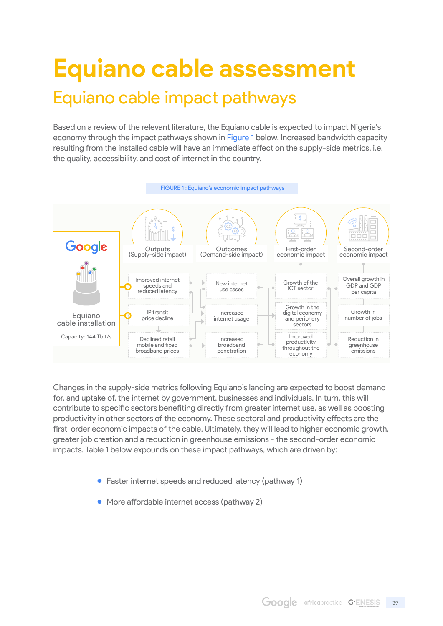# <span id="page-38-0"></span>**Equiano cable assessment** Equiano cable impact pathways

Based on a review of the relevant literature, the Equiano cable is expected to impact Nigeria's economy through the impact pathways shown in Figure 1 below. Increased bandwidth capacity resulting from the installed cable will have an immediate effect on the supply-side metrics, i.e. the quality, accessibility, and cost of internet in the country.



Changes in the supply-side metrics following Equiano's landing are expected to boost demand for, and uptake of, the internet by government, businesses and individuals. In turn, this will contribute to specific sectors benefiting directly from greater internet use, as well as boosting productivity in other sectors of the economy. These sectoral and productivity effects are the first-order economic impacts of the cable. Ultimately, they will lead to higher economic growth, greater job creation and a reduction in greenhouse emissions - the second-order economic impacts. Table 1 below expounds on these impact pathways, which are driven by:

- Faster internet speeds and reduced latency (pathway 1)
- More affordable internet access (pathway 2)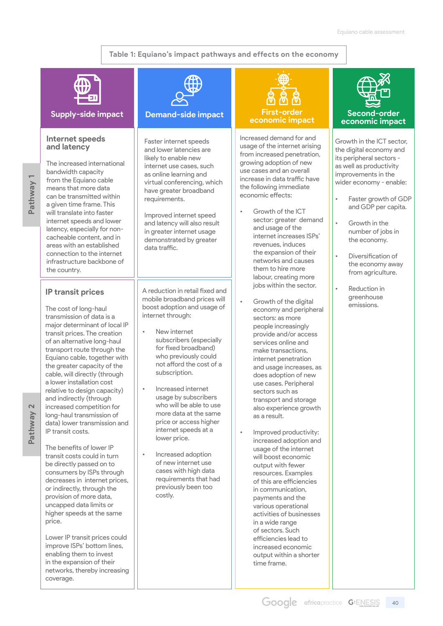#### **Table 1: Equiano's impact pathways and effects on the economy**



#### **Supply-side impact Demand-side impact**

#### **Internet speeds and latency**

**Pathway 1** Pathway

The increased international bandwidth capacity from the Equiano cable means that more data can be transmitted within a given time frame. This will translate into faster internet speeds and lower latency, especially for noncacheable content, and in areas with an established connection to the internet infrastructure backbone of the country.

#### **IP transit prices**

The cost of long-haul transmission of data is a major determinant of local IP transit prices. The creation of an alternative long-haul transport route through the Equiano cable, together with the greater capacity of the cable, will directly (through a lower installation cost relative to design capacity) and indirectly (through increased competition for long-haul transmission of data) lower transmission and IP transit costs.

The benefits of lower IP transit costs could in turn be directly passed on to consumers by ISPs through decreases in internet prices, or indirectly, through the provision of more data, uncapped data limits or higher speeds at the same price.

Lower IP transit prices could improve ISPs' bottom lines, enabling them to invest in the expansion of their networks, thereby increasing coverage.



Faster internet speeds and lower latencies are likely to enable new internet use cases, such as online learning and virtual conferencing, which have greater broadband requirements.

Improved internet speed and latency will also result in greater internet usage demonstrated by greater data traffic.

A reduction in retail fixed and mobile broadband prices will boost adoption and usage of internet through:

- New internet subscribers (especially for fixed broadband) who previously could not afford the cost of a subscription.
- Increased internet usage by subscribers who will be able to use more data at the same price or access higher internet speeds at a lower price.
- Increased adoption of new internet use cases with high data requirements that had previously been too costly.

# **economic impact**

Increased demand for and usage of the internet arising from increased penetration, growing adoption of new use cases and an overall increase in data traffic have the following immediate economic effects:

- Growth of the ICT sector: greater demand and usage of the internet increases ISPs' revenues, induces the expansion of their networks and causes them to hire more labour, creating more jobs within the sector.
- Growth of the digital economy and peripheral sectors: as more people increasingly provide and/or access services online and make transactions, internet penetration and usage increases, as does adoption of new use cases. Peripheral sectors such as transport and storage also experience growth as a result.
- Improved productivity: increased adoption and usage of the internet will boost economic output with fewer resources. Examples of this are efficiencies in communication, payments and the various operational activities of businesses in a wide range of sectors. Such efficiencies lead to increased economic output within a shorter time frame.



#### **Second-order economic impact**

Growth in the ICT sector, the digital economy and its peripheral sectors as well as productivity improvements in the wider economy - enable:

- Faster growth of GDP and GDP per capita.
- Growth in the number of jobs in the economy.
	- Diversification of the economy away from agriculture.
- Reduction in greenhouse emissions.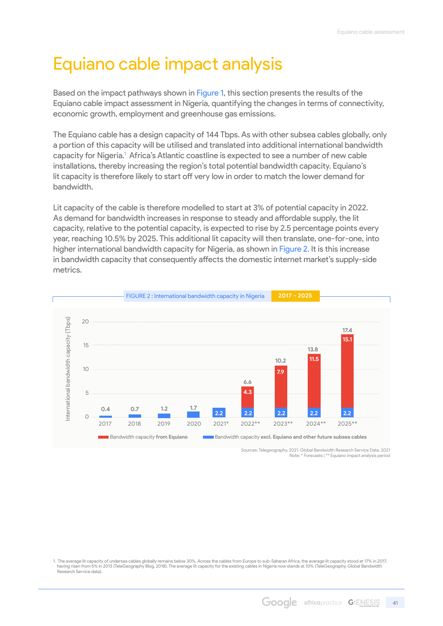# <span id="page-40-0"></span>Equiano cable impact analysis

Based on the impact pathways shown in Figure 1, this section presents the results of the Equiano cable impact assessment in Nigeria, quantifying the changes in terms of connectivity, economic growth, employment and greenhouse gas emissions.

The Equiano cable has a design capacity of 144 Tbps. As with other subsea cables globally, only a portion of this capacity will be utilised and translated into additional international bandwidth capacity for Nigeria.<sup>1</sup> Africa's Atlantic coastline is expected to see a number of new cable installations, thereby increasing the region's total potential bandwidth capacity. Equiano's lit capacity is therefore likely to start off very low in order to match the lower demand for bandwidth.

Lit capacity of the cable is therefore modelled to start at 3% of potential capacity in 2022. As demand for bandwidth increases in response to steady and affordable supply, the lit capacity, relative to the potential capacity, is expected to rise by 2.5 percentage points every year, reaching 10.5% by 2025. This additional lit capacity will then translate, one-for-one, into higher international bandwidth capacity for Nigeria, as shown in Figure 2. It is this increase in bandwidth capacity that consequently affects the domestic internet market's supply-side metrics.



Sources: Telegeography, 2021, Global Bandwidth Research Service Data, 2021 Note: \* Forecasts | \*\* Equiano impact analysis period

<sup>1.</sup> The average lit capacity of undersea cables globally remains below 30%. Across the cables from Europe to sub-Saharan Africa, the average lit capacity stood at 17% in 2017, having risen from 5% in 2013 (TeleGeography Blog, 2018). The average lit capacity for the existing cables in Nigeria now stands at 10% (TeleGeography, Global Bandwidth Research Service data).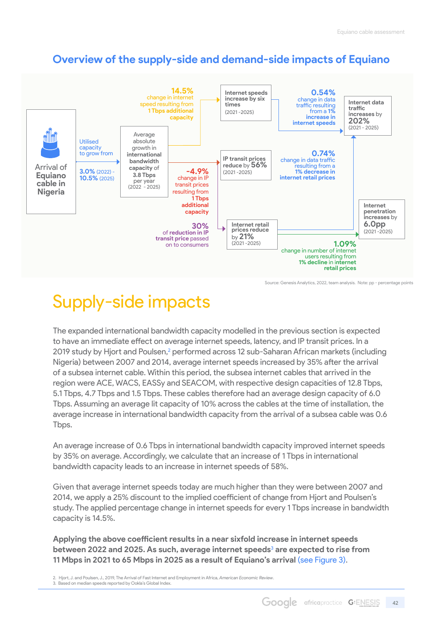### <span id="page-41-0"></span>**Overview of the supply-side and demand-side impacts of Equiano**



Source: Genesis Analytics, 2022, team analysis. Note: pp - percentage points

# Supply-side impacts

The expanded international bandwidth capacity modelled in the previous section is expected to have an immediate effect on average internet speeds, latency, and IP transit prices. In a 2019 study by Hjort and Poulsen,<sup>2</sup> performed across 12 sub-Saharan African markets (including Nigeria) between 2007 and 2014, average internet speeds increased by 35% after the arrival of a subsea internet cable. Within this period, the subsea internet cables that arrived in the region were ACE, WACS, EASSy and SEACOM, with respective design capacities of 12.8 Tbps, 5.1 Tbps, 4.7 Tbps and 1.5 Tbps. These cables therefore had an average design capacity of 6.0 Tbps. Assuming an average lit capacity of 10% across the cables at the time of installation, the average increase in international bandwidth capacity from the arrival of a subsea cable was 0.6 Tbps.

An average increase of 0.6 Tbps in international bandwidth capacity improved internet speeds by 35% on average. Accordingly, we calculate that an increase of 1 Tbps in international bandwidth capacity leads to an increase in internet speeds of 58%.

Given that average internet speeds today are much higher than they were between 2007 and 2014, we apply a 25% discount to the implied coefficient of change from Hjort and Poulsen's study. The applied percentage change in internet speeds for every 1 Tbps increase in bandwidth capacity is 14.5%.

**Applying the above coefficient results in a near sixfold increase in internet speeds between 2022 and 2025. As such, average internet speeds**<sup>3</sup>  **are expected to rise from 11 Mbps in 2021 to 65 Mbps in 2025 as a result of Equiano's arrival** (see Figure 3).

2. Hjort, J. and Poulsen, J., 2019, The Arrival of Fast Internet and Employment in Africa, *American Economic Review*. 3. Based on median speeds reported by Ookla's Global Index.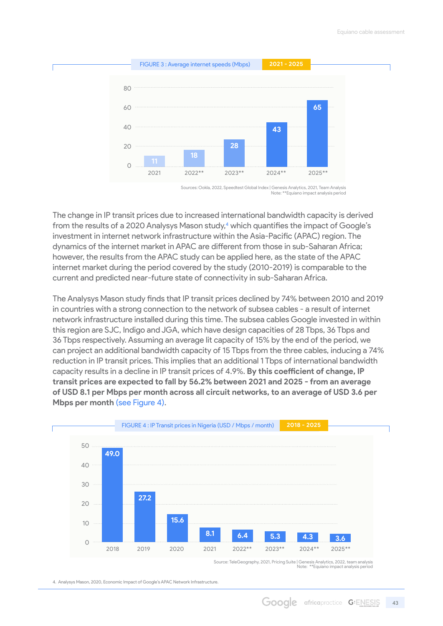

Sources: Ookla, 2022, Speedtest Global Index | Genesis Analytics, 2021, Team Analysis Note: \*\*Equiano impact analysis period

The change in IP transit prices due to increased international bandwidth capacity is derived from the results of a 2020 Analysys Mason study,<sup>4</sup> which quantifies the impact of Google's investment in internet network infrastructure within the Asia-Pacific (APAC) region. The dynamics of the internet market in APAC are different from those in sub-Saharan Africa; however, the results from the APAC study can be applied here, as the state of the APAC internet market during the period covered by the study (2010-2019) is comparable to the current and predicted near-future state of connectivity in sub-Saharan Africa.

The Analysys Mason study finds that IP transit prices declined by 74% between 2010 and 2019 in countries with a strong connection to the network of subsea cables - a result of internet network infrastructure installed during this time. The subsea cables Google invested in within this region are SJC, Indigo and JGA, which have design capacities of 28 Tbps, 36 Tbps and 36 Tbps respectively. Assuming an average lit capacity of 15% by the end of the period, we can project an additional bandwidth capacity of 15 Tbps from the three cables, inducing a 74% reduction in IP transit prices. This implies that an additional 1 Tbps of international bandwidth capacity results in a decline in IP transit prices of 4.9%. **By this coefficient of change, IP transit prices are expected to fall by 56.2% between 2021 and 2025 - from an average of USD 8.1 per Mbps per month across all circuit networks, to an average of USD 3.6 per Mbps per month** (see Figure 4).



Source: TeleGeography, 2021, Pricing Suite | Genesis Analytics, 2022, team analysis Note: \*\*Equiano impact analysis period

4. Analysys Mason, 2020, Economic Impact of Google's APAC Network Infrastructure.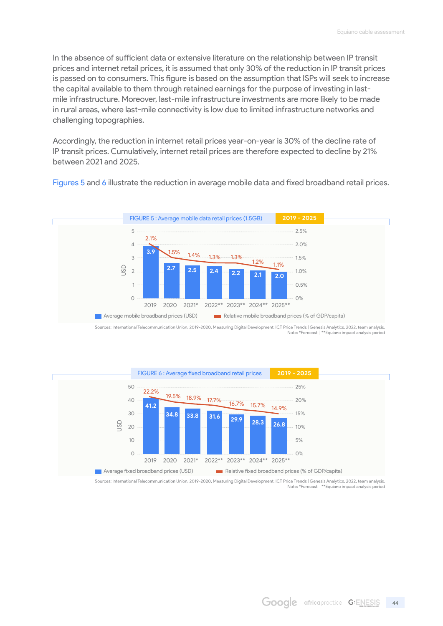In the absence of sufficient data or extensive literature on the relationship between IP transit prices and internet retail prices, it is assumed that only 30% of the reduction in IP transit prices is passed on to consumers. This figure is based on the assumption that ISPs will seek to increase the capital available to them through retained earnings for the purpose of investing in lastmile infrastructure. Moreover, last-mile infrastructure investments are more likely to be made in rural areas, where last-mile connectivity is low due to limited infrastructure networks and challenging topographies.

Accordingly, the reduction in internet retail prices year-on-year is 30% of the decline rate of IP transit prices. Cumulatively, internet retail prices are therefore expected to decline by 21% between 2021 and 2025.

Figures 5 and 6 illustrate the reduction in average mobile data and fixed broadband retail prices.



Sources: International Telecommunication Union, 2019-2020, Measuring Digital Development, ICT Price Trends | Genesis Analytics, 2022, team analysis.<br>Note: \*Forecast | \*\*Equiano impact analysis period



Sources: International Telecommunication Union, 2019-2020, Measuring Digital Development, ICT Price Trends | Genesis Analytics, 2022, team analysis. Note: \*Forecast | \*\*Equiano impact analysis period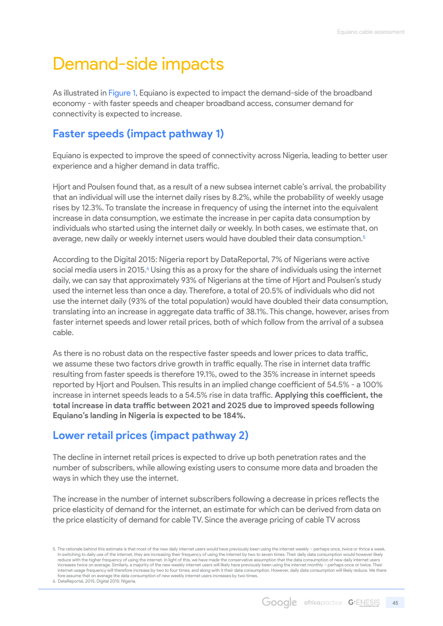# <span id="page-44-0"></span>Demand-side impacts

As illustrated in Figure 1, Equiano is expected to impact the demand-side of the broadband economy - with faster speeds and cheaper broadband access, consumer demand for connectivity is expected to increase.

### **Faster speeds (impact pathway 1)**

Equiano is expected to improve the speed of connectivity across Nigeria, leading to better user experience and a higher demand in data traffic.

Hjort and Poulsen found that, as a result of a new subsea internet cable's arrival, the probability that an individual will use the internet daily rises by 8.2%, while the probability of weekly usage rises by 12.3%. To translate the increase in frequency of using the internet into the equivalent increase in data consumption, we estimate the increase in per capita data consumption by individuals who started using the internet daily or weekly. In both cases, we estimate that, on average, new daily or weekly internet users would have doubled their data consumption.<sup>5</sup>

According to the Digital 2015: Nigeria report by DataReportal, 7% of Nigerians were active social media users in 2015.<sup>6</sup> Using this as a proxy for the share of individuals using the internet daily, we can say that approximately 93% of Nigerians at the time of Hjort and Poulsen's study used the internet less than once a day. Therefore, a total of 20.5% of individuals who did not use the internet daily (93% of the total population) would have doubled their data consumption, translating into an increase in aggregate data traffic of 38.1%. This change, however, arises from faster internet speeds and lower retail prices, both of which follow from the arrival of a subsea cable.

As there is no robust data on the respective faster speeds and lower prices to data traffic, we assume these two factors drive growth in traffic equally. The rise in internet data traffic resulting from faster speeds is therefore 19.1%, owed to the 35% increase in internet speeds reported by Hjort and Poulsen. This results in an implied change coefficient of 54.5% - a 100% increase in internet speeds leads to a 54.5% rise in data traffic. **Applying this coefficient, the total increase in data traffic between 2021 and 2025 due to improved speeds following Equiano's landing in Nigeria is expected to be 184%.**

### **Lower retail prices (impact pathway 2)**

The decline in internet retail prices is expected to drive up both penetration rates and the number of subscribers, while allowing existing users to consume more data and broaden the ways in which they use the internet.

The increase in the number of internet subscribers following a decrease in prices reflects the price elasticity of demand for the internet, an estimate for which can be derived from data on the price elasticity of demand for cable TV. Since the average pricing of cable TV across

6. DataReportal, 2015, Digital 2015: Nigeria.

<sup>5.</sup> The rationale behind this estimate is that most of the new daily internet users would have previously been using the internet weekly - perhaps once, twice or thrice a week. In switching to daily use of the internet, they are increasing their frequency of using the internet by two to seven times. Their daily data consumption would however likely reduce with the higher frequency of using the internet. In light of this, we have made the conservative assumption that the data consumption of new daily internet users increases twice on average. Similarly, a majority of the new weekly internet users will likely have previously been using the internet monthly – perhaps once or twice. Their internet usage frequency will therefore increase by two to four times, and along with it their data consumption. However, daily data consumption will likely reduce. We there fore assume that on average the data consumption of new weekly internet users increases by two times.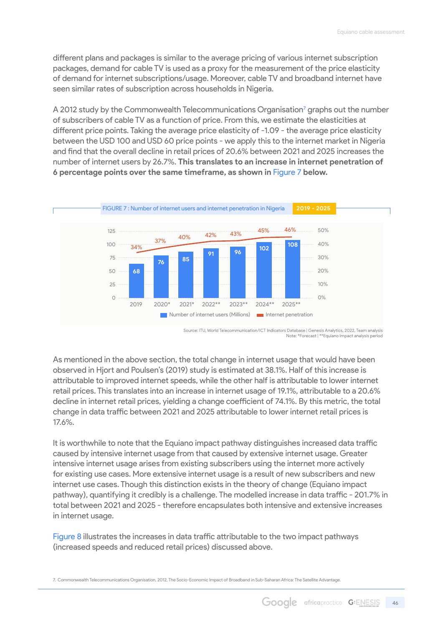different plans and packages is similar to the average pricing of various internet subscription packages, demand for cable TV is used as a proxy for the measurement of the price elasticity of demand for internet subscriptions/usage. Moreover, cable TV and broadband internet have seen similar rates of subscription across households in Nigeria.

A 2012 study by the Commonwealth Telecommunications Organisation<sup>7</sup> graphs out the number of subscribers of cable TV as a function of price. From this, we estimate the elasticities at different price points. Taking the average price elasticity of -1.09 - the average price elasticity between the USD 100 and USD 60 price points - we apply this to the internet market in Nigeria and find that the overall decline in retail prices of 20.6% between 2021 and 2025 increases the number of internet users by 26.7%. **This translates to an increase in internet penetration of 6 percentage points over the same timeframe, as shown in** Figure 7 **below.**



Source: ITU, World Telecommunication/ICT Indicators Database | Genesis Analytics, 2022, Team analysis Note: \*Forecast | \*\*Equiano impact analysis period

As mentioned in the above section, the total change in internet usage that would have been observed in Hjort and Poulsen's (2019) study is estimated at 38.1%. Half of this increase is attributable to improved internet speeds, while the other half is attributable to lower internet retail prices. This translates into an increase in internet usage of 19.1%, attributable to a 20.6% decline in internet retail prices, yielding a change coefficient of 74.1%. By this metric, the total change in data traffic between 2021 and 2025 attributable to lower internet retail prices is 17.6%.

It is worthwhile to note that the Equiano impact pathway distinguishes increased data traffic caused by intensive internet usage from that caused by extensive internet usage. Greater intensive internet usage arises from existing subscribers using the internet more actively for existing use cases. More extensive internet usage is a result of new subscribers and new internet use cases. Though this distinction exists in the theory of change (Equiano impact pathway), quantifying it credibly is a challenge. The modelled increase in data traffic - 201.7% in total between 2021 and 2025 - therefore encapsulates both intensive and extensive increases in internet usage.

Figure 8 illustrates the increases in data traffic attributable to the two impact pathways (increased speeds and reduced retail prices) discussed above.

7. Commonwealth Telecommunications Organisation, 2012, The Socio-Economic Impact of Broadband in Sub-Saharan Africa: The Satellite Advantage.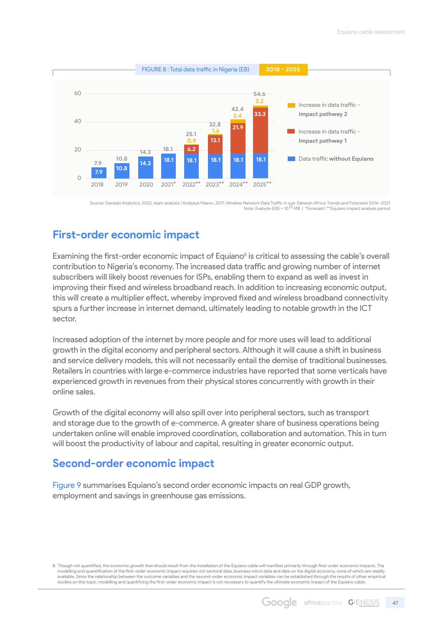<span id="page-46-0"></span>

Source: Genesis Analytics, 2022, team analysis | Analysys Mason, 2017, Wireless Network Data Traffic in sub-Saharan Africa: Trends and Forecasts 2016–2021<br>Note: Exabyte (EB) = 10<sup>12</sup> MB | \*Forecast | \*\*Equiano impact analy

### **First-order economic impact**

Examining the first-order economic impact of Equiano<sup>8</sup> is critical to assessing the cable's overall contribution to Nigeria's economy. The increased data traffic and growing number of internet subscribers will likely boost revenues for ISPs, enabling them to expand as well as invest in improving their fixed and wireless broadband reach. In addition to increasing economic output, this will create a multiplier effect, whereby improved fixed and wireless broadband connectivity spurs a further increase in internet demand, ultimately leading to notable growth in the ICT sector.

Increased adoption of the internet by more people and for more uses will lead to additional growth in the digital economy and peripheral sectors. Although it will cause a shift in business and service delivery models, this will not necessarily entail the demise of traditional businesses. Retailers in countries with large e-commerce industries have reported that some verticals have experienced growth in revenues from their physical stores concurrently with growth in their online sales.

Growth of the digital economy will also spill over into peripheral sectors, such as transport and storage due to the growth of e-commerce. A greater share of business operations being undertaken online will enable improved coordination, collaboration and automation. This in turn will boost the productivity of labour and capital, resulting in greater economic output.

### **Second-order economic impact**

Figure 9 summarises Equiano's second order economic impacts on real GDP growth, employment and savings in greenhouse gas emissions.

8. Though not quantified, the economic growth that should result from the installation of the Equiano cable will manifest primarily through first-order economic impacts. The modelling and quantification of the first-order economic impact requires rich sectoral data, business micro data and data on the digital economy, none of which are readily available. Since the relationship between the outcome variables and the second-order economic impact variables can be established through the results of other empirical studies on this topic, modelling and quantifying the first-order economic impact is not necessary to quantify the ultimate economic impact of the Equiano cable.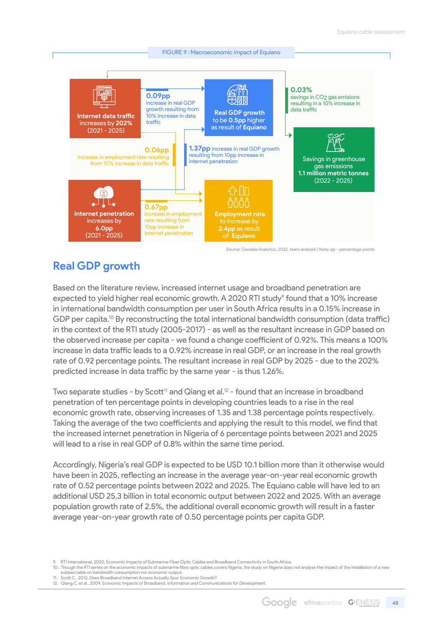<span id="page-47-0"></span>

Source: Genesis Analytics, 2022, team analysis | Note: pp - percentage points

### **Real GDP growth**

Based on the literature review, increased internet usage and broadband penetration are expected to yield higher real economic growth. A 2020 RTI study<sup>9</sup> found that a 10% increase in international bandwidth consumption per user in South Africa results in a 0.15% increase in GDP per capita.<sup>10</sup> By reconstructing the total international bandwidth consumption (data traffic) in the context of the RTI study (2005-2017) - as well as the resultant increase in GDP based on the observed increase per capita - we found a change coefficient of 0.92%. This means a 100% increase in data traffic leads to a 0.92% increase in real GDP, or an increase in the real growth rate of 0.92 percentage points. The resultant increase in real GDP by 2025 - due to the 202% predicted increase in data traffic by the same year - is thus 1.26%.

Two separate studies - by Scott<sup>11</sup> and Qiang et al.<sup>12</sup> - found that an increase in broadband penetration of ten percentage points in developing countries leads to a rise in the real economic growth rate, observing increases of 1.35 and 1.38 percentage points respectively. Taking the average of the two coefficients and applying the result to this model, we find that the increased internet penetration in Nigeria of 6 percentage points between 2021 and 2025 will lead to a rise in real GDP of 0.8% within the same time period.

Accordingly, Nigeria's real GDP is expected to be USD 10.1 billion more than it otherwise would have been in 2025, reflecting an increase in the average year-on-year real economic growth rate of 0.52 percentage points between 2022 and 2025. The Equiano cable will have led to an additional USD 25.3 billion in total economic output between 2022 and 2025. With an average population growth rate of 2.5%, the additional overall economic growth will result in a faster average year-on-year growth rate of 0.50 percentage points per capita GDP.

<sup>9.</sup> RTI International, 2020, Economic Impacts of Submarine Fiber Optic Cables and Broadband Connectivity in South Africa.

<sup>10.</sup> Though the RTI series on the economic impacts of submarine fibre optic cables covers Nigeria, the study on Nigeria does not analyse the impact of the installation of a new subsea cable on bandwidth consumption nor economic output.

<sup>11.</sup> Scott C., 2012, Does Broadband Internet Access Actually Spur Economic Growth? 12. Qiang C. et al., 2009, Economic Impacts of Broadband. *Information and Communications for Development.*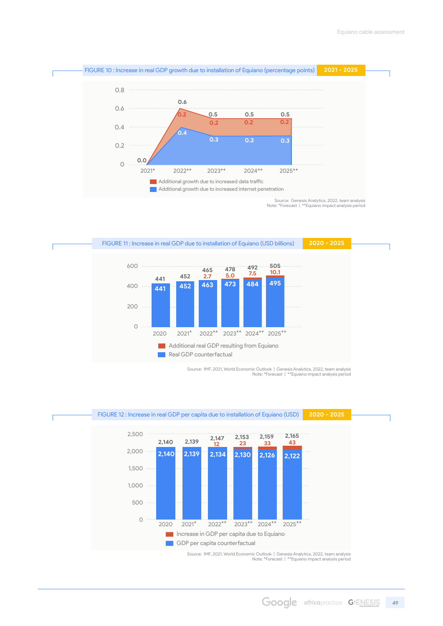<span id="page-48-0"></span>

Note: \*Forecast | \*\*Equiano impact analysis period



Source: IMF, 2021, World Economic Outlook | Genesis Analytics, 2022, team analysis Note: \*Forecast | \*\*Equiano impact analysis period

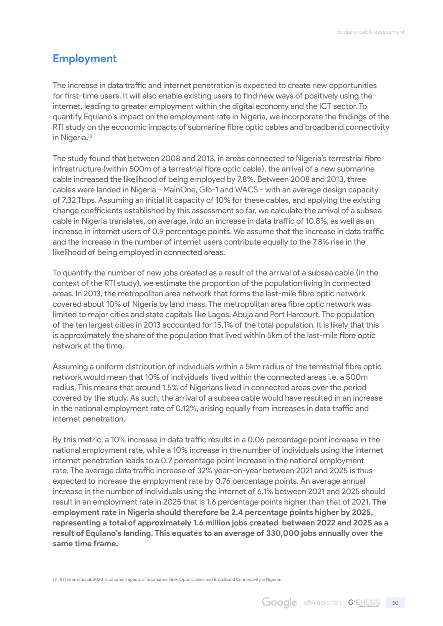### <span id="page-49-0"></span>**Employment**

The increase in data traffic and internet penetration is expected to create new opportunities for first-time users. It will also enable existing users to find new ways of positively using the internet, leading to greater employment within the digital economy and the ICT sector. To quantify Equiano's impact on the employment rate in Nigeria, we incorporate the findings of the RTI study on the economic impacts of submarine fibre optic cables and broadband connectivity in Nigeria.<sup>13</sup>

The study found that between 2008 and 2013, in areas connected to Nigeria's terrestrial fibre infrastructure (within 500m of a terrestrial fibre optic cable), the arrival of a new submarine cable increased the likelihood of being employed by 7.8%. Between 2008 and 2013, three cables were landed in Nigeria - MainOne, Glo-1 and WACS - with an average design capacity of 7.32 Tbps. Assuming an initial lit capacity of 10% for these cables, and applying the existing change coefficients established by this assessment so far, we calculate the arrival of a subsea cable in Nigeria translates, on average, into an increase in data traffic of 10.8%, as well as an increase in internet users of 0.9 percentage points. We assume that the increase in data traffic and the increase in the number of internet users contribute equally to the 7.8% rise in the likelihood of being employed in connected areas.

To quantify the number of new jobs created as a result of the arrival of a subsea cable (in the context of the RTI study), we estimate the proportion of the population living in connected areas. In 2013, the metropolitan area network that forms the last-mile fibre optic network covered about 10% of Nigeria by land mass. The metropolitan area fibre optic network was limited to major cities and state capitals like Lagos, Abuja and Port Harcourt. The population of the ten largest cities in 2013 accounted for 15.1% of the total population. It is likely that this is approximately the share of the population that lived within 5km of the last-mile fibre optic network at the time.

Assuming a uniform distribution of individuals within a 5km radius of the terrestrial fibre optic network would mean that 10% of individuals lived within the connected areas i.e. a 500m radius. This means that around 1.5% of Nigerians lived in connected areas over the period covered by the study. As such, the arrival of a subsea cable would have resulted in an increase in the national employment rate of 0.12%, arising equally from increases in data traffic and internet penetration.

By this metric, a 10% increase in data traffic results in a 0.06 percentage point increase in the national employment rate, while a 10% increase in the number of individuals using the internet internet penetration leads to a 0.7 percentage point increase in the national employment rate. The average data traffic increase of 32% year-on-year between 2021 and 2025 is thus expected to increase the employment rate by 0.76 percentage points. An average annual increase in the number of individuals using the internet of 6.1% between 2021 and 2025 should result in an employment rate in 2025 that is 1.6 percentage points higher than that of 2021. **The employment rate in Nigeria should therefore be 2.4 percentage points higher by 2025, representing a total of approximately 1.6 million jobs created between 2022 and 2025 as a result of Equiano's landing. This equates to an average of 330,000 jobs annually over the same time frame.**

13. RTI International, 2020, Economic Impacts of Submarine Fiber Optic Cables and Broadband Connectivity in Nigeria.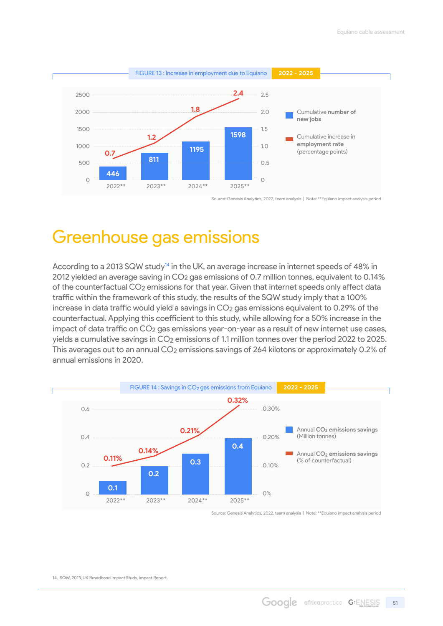<span id="page-50-0"></span>

Source: Genesis Analytics, 2022, team analysis | Note: \*\*Equiano impact analysis period

# Greenhouse gas emissions

According to a 2013 SQW study<sup>14</sup> in the UK, an average increase in internet speeds of 48% in 2012 yielded an average saving in CO2 gas emissions of 0.7 million tonnes, equivalent to 0.14% of the counterfactual CO2 emissions for that year. Given that internet speeds only affect data traffic within the framework of this study, the results of the SQW study imply that a 100% increase in data traffic would yield a savings in CO<sub>2</sub> gas emissions equivalent to 0.29% of the counterfactual. Applying this coefficient to this study, while allowing for a 50% increase in the impact of data traffic on CO<sub>2</sub> gas emissions year-on-year as a result of new internet use cases, yields a cumulative savings in CO2 emissions of 1.1 million tonnes over the period 2022 to 2025. This averages out to an annual CO2 emissions savings of 264 kilotons or approximately 0.2% of annual emissions in 2020.



Source: Genesis Analytics, 2022, team analysis | Note: \*\*Equiano impact analysis period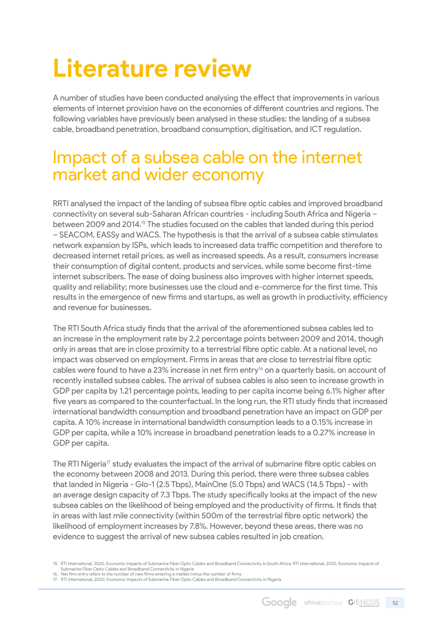# <span id="page-51-0"></span>**Literature review**

A number of studies have been conducted analysing the effect that improvements in various elements of internet provision have on the economies of different countries and regions. The following variables have previously been analysed in these studies: the landing of a subsea cable, broadband penetration, broadband consumption, digitisation, and ICT regulation.

## Impact of a subsea cable on the internet market and wider economy

RRTI analysed the impact of the landing of subsea fibre optic cables and improved broadband connectivity on several sub-Saharan African countries - including South Africa and Nigeria – between 2009 and 2014.<sup>15</sup> The studies focused on the cables that landed during this period – SEACOM, EASSy and WACS. The hypothesis is that the arrival of a subsea cable stimulates network expansion by ISPs, which leads to increased data traffic competition and therefore to decreased internet retail prices, as well as increased speeds. As a result, consumers increase their consumption of digital content, products and services, while some become first-time internet subscribers. The ease of doing business also improves with higher internet speeds, quality and reliability; more businesses use the cloud and e-commerce for the first time. This results in the emergence of new firms and startups, as well as growth in productivity, efficiency and revenue for businesses.

The RTI South Africa study finds that the arrival of the aforementioned subsea cables led to an increase in the employment rate by 2.2 percentage points between 2009 and 2014, though only in areas that are in close proximity to a terrestrial fibre optic cable. At a national level, no impact was observed on employment. Firms in areas that are close to terrestrial fibre optic cables were found to have a 23% increase in net firm entry<sup>16</sup> on a quarterly basis, on account of recently installed subsea cables. The arrival of subsea cables is also seen to increase growth in GDP per capita by 1.21 percentage points, leading to per capita income being 6.1% higher after five years as compared to the counterfactual. In the long run, the RTI study finds that increased international bandwidth consumption and broadband penetration have an impact on GDP per capita. A 10% increase in international bandwidth consumption leads to a 0.15% increase in GDP per capita, while a 10% increase in broadband penetration leads to a 0.27% increase in GDP per capita.

The RTI Nigeria<sup>17</sup> study evaluates the impact of the arrival of submarine fibre optic cables on the economy between 2008 and 2013. During this period, there were three subsea cables that landed in Nigeria - Glo-1 (2.5 Tbps), MainOne (5.0 Tbps) and WACS (14.5 Tbps) - with an average design capacity of 7.3 Tbps. The study specifically looks at the impact of the new subsea cables on the likelihood of being employed and the productivity of firms. It finds that in areas with last mile connectivity (within 500m of the terrestrial fibre optic network) the likelihood of employment increases by 7.8%. However, beyond these areas, there was no evidence to suggest the arrival of new subsea cables resulted in job creation.

<sup>15.</sup> RTI International, 2020, Economic Impacts of Submarine Fiber Optic Cables and Broadband Connectivity in South Africa. RTI International, 2020, Economic Impacts of

Submarine Fiber Optic Cables and Broadband Connectivity in Nigeria 16. Net firm entry refers to the number of new firms entering a market minus the number of firms

<sup>17.</sup> RTI International, 2020, Economic Impacts of Submarine Fiber Optic Cables and Broadband Connectivity in Nigeria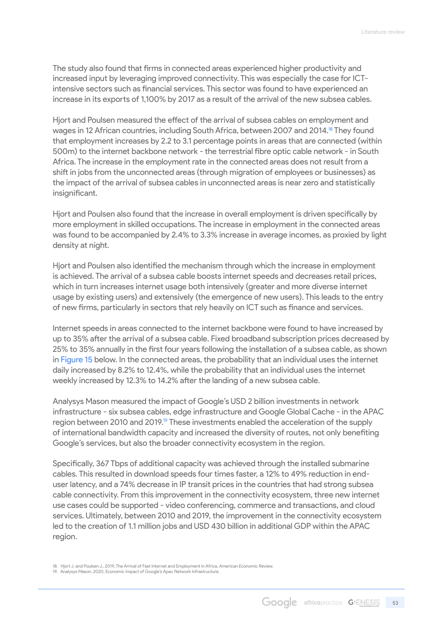The study also found that firms in connected areas experienced higher productivity and increased input by leveraging improved connectivity. This was especially the case for ICTintensive sectors such as financial services. This sector was found to have experienced an increase in its exports of 1,100% by 2017 as a result of the arrival of the new subsea cables.

Hjort and Poulsen measured the effect of the arrival of subsea cables on employment and wages in 12 African countries, including South Africa, between 2007 and 2014.<sup>18</sup> They found that employment increases by 2.2 to 3.1 percentage points in areas that are connected (within 500m) to the internet backbone network - the terrestrial fibre optic cable network - in South Africa. The increase in the employment rate in the connected areas does not result from a shift in jobs from the unconnected areas (through migration of employees or businesses) as the impact of the arrival of subsea cables in unconnected areas is near zero and statistically insignificant.

Hjort and Poulsen also found that the increase in overall employment is driven specifically by more employment in skilled occupations. The increase in employment in the connected areas was found to be accompanied by 2.4% to 3.3% increase in average incomes, as proxied by light density at night.

Hjort and Poulsen also identified the mechanism through which the increase in employment is achieved. The arrival of a subsea cable boosts internet speeds and decreases retail prices, which in turn increases internet usage both intensively (greater and more diverse internet usage by existing users) and extensively (the emergence of new users). This leads to the entry of new firms, particularly in sectors that rely heavily on ICT such as finance and services.

Internet speeds in areas connected to the internet backbone were found to have increased by up to 35% after the arrival of a subsea cable. Fixed broadband subscription prices decreased by 25% to 35% annually in the first four years following the installation of a subsea cable, as shown in Figure 15 below. In the connected areas, the probability that an individual uses the internet daily increased by 8.2% to 12.4%, while the probability that an individual uses the internet weekly increased by 12.3% to 14.2% after the landing of a new subsea cable.

Analysys Mason measured the impact of Google's USD 2 billion investments in network infrastructure - six subsea cables, edge infrastructure and Google Global Cache - in the APAC region between 2010 and 2019.<sup>19</sup> These investments enabled the acceleration of the supply of international bandwidth capacity and increased the diversity of routes, not only benefiting Google's services, but also the broader connectivity ecosystem in the region.

Specifically, 367 Tbps of additional capacity was achieved through the installed submarine cables. This resulted in download speeds four times faster, a 12% to 49% reduction in enduser latency, and a 74% decrease in IP transit prices in the countries that had strong subsea cable connectivity. From this improvement in the connectivity ecosystem, three new internet use cases could be supported - video conferencing, commerce and transactions, and cloud services. Ultimately, between 2010 and 2019, the improvement in the connectivity ecosystem led to the creation of 1.1 million jobs and USD 430 billion in additional GDP within the APAC region.

<sup>18.</sup> Hjort J. and Poulsen J., 2019, The Arrival of Fast Internet and Employment in Africa, *American Economic Review.* 19.  Analysys Mason, 2020, Economic Impact of Google's Apac Network Infrastructure.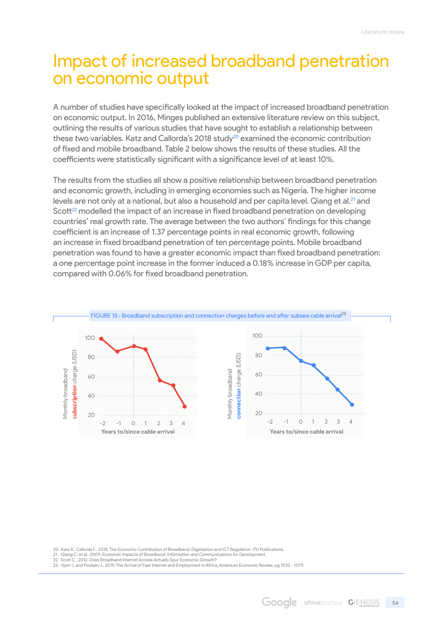## <span id="page-53-0"></span>Impact of increased broadband penetration on economic output

A number of studies have specifically looked at the impact of increased broadband penetration on economic output. In 2016, Minges published an extensive literature review on this subject, outlining the results of various studies that have sought to establish a relationship between these two variables. Katz and Callorda's 2018 study<sup>20</sup> examined the economic contribution of fixed and mobile broadband. Table 2 below shows the results of these studies. All the coefficients were statistically significant with a significance level of at least 10%.

The results from the studies all show a positive relationship between broadband penetration and economic growth, including in emerging economies such as Nigeria. The higher income levels are not only at a national, but also a household and per capita level. Qiang et al.<sup>21</sup> and Scott<sup>22</sup> modelled the impact of an increase in fixed broadband penetration on developing countries' real growth rate. The average between the two authors' findings for this change coefficient is an increase of 1.37 percentage points in real economic growth, following an increase in fixed broadband penetration of ten percentage points. Mobile broadband penetration was found to have a greater economic impact than fixed broadband penetration: a one percentage point increase in the former induced a 0.18% increase in GDP per capita, compared with 0.06% for fixed broadband penetration.



20. Katz R., Callorda F., 2018, The Economic Contribution of Broadband, Digitization and ICT Regulation. *ITU Publications.*

- 21.  Qiang C. et al., 2009, Economic Impacts of Broadband. *Information and Communications for Development.* 22. Scott C., 2012, Does Broadband Internet Access Actually Spur Economic Growth?
- 23. Hjort J. and Poulsen J., 2019, The Arrival of Fast Internet and Employment in Africa, American Economic Review, pg 1032 1079.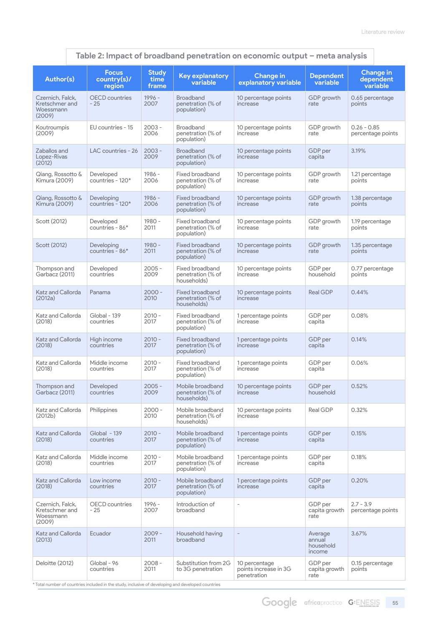#### **Author(s) Focus country(s)/ region Study time frame Key explanatory variable Change in explanatory variable Dependent variable Change in dependent variable** Czernich, Falck, Kretschmer and Woessmann (2009) OECD countries  $-25$ 1996 - 2007 Broadband penetration (% of population) 10 percentage points increase GDP growth rate 0.65 percentage points Koutroumpis (2009) EU countries -  $15$  2003 -2006 Broadband penetration (% of population) 10 percentage points increase GDP growth rate  $0.26 - 0.85$ percentage points Zaballos and Lopez-Rivas  $(2012)$ LAC countries -  $26 \mid 2003 \cdot$ 2009 Broadband penetration (% of population) 10 percentage points increase GDP per capita 3.19% Qiang, Rossotto & Kimura (2009) Developed countries - 120\* 1986 - 2006 Fixed broadband penetration (% of population) 10 percentage points increase GDP growth rate 1.21 percentage points Qiang, Rossotto & Kimura (2009) **Developing** countries - 120\* 1986 - 2006 Fixed broadband penetration (% of population) 10 percentage points increase GDP growth rate 1.38 percentage points Scott (2012) Developed countries - 86\* 1980 - 2011 Fixed broadband penetration (% of population) 10 percentage points increase GDP growth rate 1.19 percentage points Scott (2012) Developing countries - 86\* 1980 - 2011 Fixed broadband penetration (% of population) 10 percentage points increase GDP growth rate 1.35 percentage points Thompson and Garbacz (2011) Developed countries 2005 - 2009 Fixed broadband penetration (% of households) 10 percentage points increase GDP per household 0.77 percentage points Katz and Callorda (2012a) Panama 2000 - 2010 Fixed broadband penetration (% of households) 10 percentage points increase Real GDP 0.44% Katz and Callorda (2018) Global - 139 countries 2010 - 2017 Fixed broadband penetration (% of population) 1 percentage points increase GDP per capita 0.08% Katz and Callorda (2018) High income countries  $2010 -$ 2017 Fixed broadband penetration (% of population) 1 percentage points increase GDP per capita  $0.14%$ Katz and Callorda  $(2018)$ Middle income countries 2010 - 2017 Fixed broadband penetration (% of population) 1 percentage points increase GDP per capita 0.06% Thompson and Garbacz (2011) Developed countries 2005 - 2009 Mobile broadband penetration (% of households) 10 percentage points increase GDP per household 0.52% Katz and Callorda (2012b) Philippines 2000 -2010 Mobile broadband penetration (% of households) 10 percentage points increase Real GDP 0.32% Katz and Callorda (2018) Global - 139 countries  $2010 -$ 2017 Mobile broadband penetration (% of population) 1 percentage points increase GDP per capita  $0.15%$ Katz and Callorda  $(2018)$ Middle income countries 2010 - 2017 Mobile broadband penetration (% of population) 1 percentage points increase GDP per capita 0.18% Katz and Callorda (2018) Low income countries 2010 - 2017 Mobile broadband penetration (% of population) 1 percentage points increase GDP per capita 0.20% Czernich, Falck, Kretschmer and Woessmann  $(2009)$ OECD countries - 25  $1006 -$ 2007 Introduction of broadband - GDP per capita growth rate 2.7 - 3.9 percentage points Katz and Callorda (2013) Ecuador 2009 -2011 Household having broadband - Average annual household income 3.67% Deloitte (2012) Global - 96 2008 - Substitution from 2G 10 percentage GDP per 0.15 percentage

#### **Table 2: Impact of broadband penetration on economic output – meta analysis**

\* Total number of countries included in the study, inclusive of developing and developed countries

2011

to 3G penetration

points increase in 3G .<br>penetration

countries

capita growth rate

points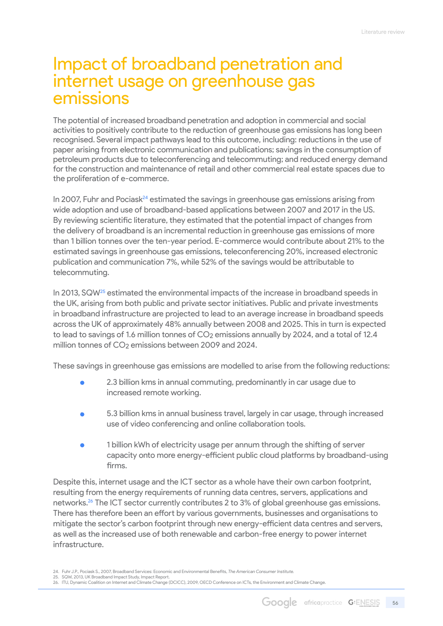## <span id="page-55-0"></span>Impact of broadband penetration and internet usage on greenhouse gas emissions

The potential of increased broadband penetration and adoption in commercial and social activities to positively contribute to the reduction of greenhouse gas emissions has long been recognised. Several impact pathways lead to this outcome, including: reductions in the use of paper arising from electronic communication and publications; savings in the consumption of petroleum products due to teleconferencing and telecommuting; and reduced energy demand for the construction and maintenance of retail and other commercial real estate spaces due to the proliferation of e-commerce.

In 2007, Fuhr and Pocias $k^{24}$  estimated the savings in greenhouse gas emissions arising from wide adoption and use of broadband-based applications between 2007 and 2017 in the US. By reviewing scientific literature, they estimated that the potential impact of changes from the delivery of broadband is an incremental reduction in greenhouse gas emissions of more than 1 billion tonnes over the ten-year period. E-commerce would contribute about 21% to the estimated savings in greenhouse gas emissions, teleconferencing 20%, increased electronic publication and communication 7%, while 52% of the savings would be attributable to telecommuting.

In 2013, SQW<sup>25</sup> estimated the environmental impacts of the increase in broadband speeds in the UK, arising from both public and private sector initiatives. Public and private investments in broadband infrastructure are projected to lead to an average increase in broadband speeds across the UK of approximately 48% annually between 2008 and 2025. This in turn is expected to lead to savings of 1.6 million tonnes of  $CO<sub>2</sub>$  emissions annually by 2024, and a total of 12.4 million tonnes of CO<sub>2</sub> emissions between 2009 and 2024.

These savings in greenhouse gas emissions are modelled to arise from the following reductions:

- 2.3 billion kms in annual commuting, predominantly in car usage due to increased remote working.
- 5.3 billion kms in annual business travel, largely in car usage, through increased use of video conferencing and online collaboration tools.
- 1 billion kWh of electricity usage per annum through the shifting of server capacity onto more energy-efficient public cloud platforms by broadband-using firms.

Despite this, internet usage and the ICT sector as a whole have their own carbon footprint, resulting from the energy requirements of running data centres, servers, applications and networks.26 The ICT sector currently contributes 2 to 3% of global greenhouse gas emissions. There has therefore been an effort by various governments, businesses and organisations to mitigate the sector's carbon footprint through new energy-efficient data centres and servers, as well as the increased use of both renewable and carbon-free energy to power internet infrastructure.

<sup>24.</sup> Fuhr J.P., Pociask S., 2007, Broadband Services: Economic and Environmental Benefits, *The American Consumer Institute.*

<sup>25.</sup> SQW, 2013, UK Broadband Impact Study, Impact Report.<br>26. ITU, Dynamic Coalition on Internet and Climate Change (DCICC), 2009, OECD Conference on ICTs, the Environment and Climate Change.